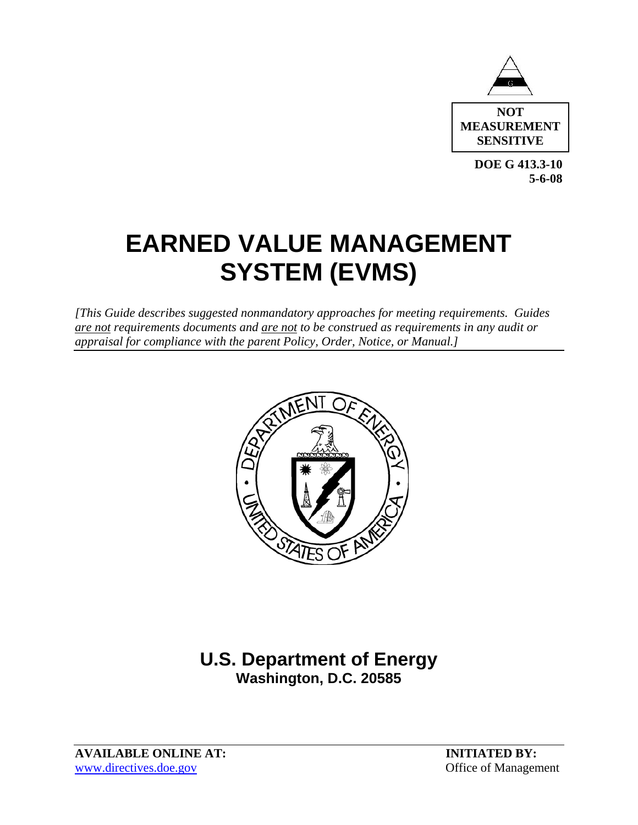

**DOE G 413.3-10 5-6-08** 

# **EARNED VALUE MANAGEMENT SYSTEM (EVMS)**

*[This Guide describes suggested nonmandatory approaches for meeting requirements. Guides are not requirements documents and are not to be construed as requirements in any audit or appraisal for compliance with the parent Policy, Order, Notice, or Manual.]*



## **U.S. Department of Energy Washington, D.C. 20585**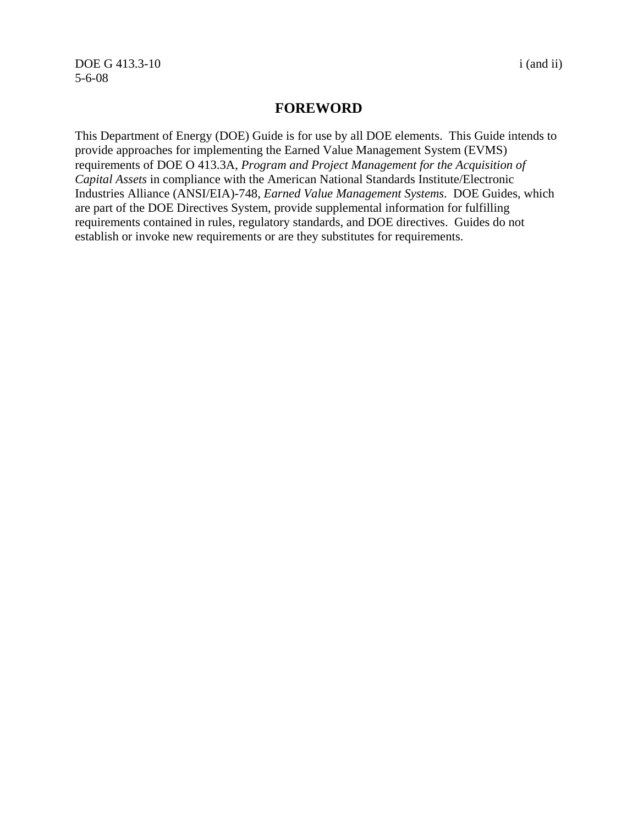DOE G 413.3-10 i (and ii) 5-6-08

#### **FOREWORD**

This Department of Energy (DOE) Guide is for use by all DOE elements. This Guide intends to provide approaches for implementing the Earned Value Management System (EVMS) requirements of DOE O 413.3A, *Program and Project Management for the Acquisition of Capital Assets* in compliance with the American National Standards Institute/Electronic Industries Alliance (ANSI/EIA)-748, *Earned Value Management Systems*. DOE Guides, which are part of the DOE Directives System, provide supplemental information for fulfilling requirements contained in rules, regulatory standards, and DOE directives. Guides do not establish or invoke new requirements or are they substitutes for requirements.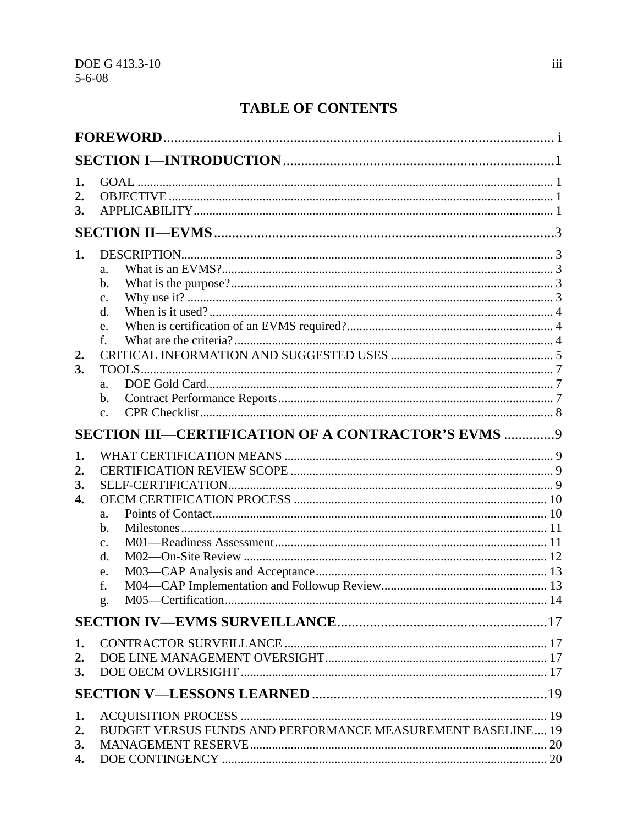## **TABLE OF CONTENTS**

| 1.<br>2.<br>3.       |                                                             |  |
|----------------------|-------------------------------------------------------------|--|
|                      |                                                             |  |
| 1.                   | a.<br>b.<br>$\mathbf{C}$ .<br>d.<br>e.                      |  |
| 2.<br>3.             | f.<br>a.<br>b.<br>$C_{\bullet}$                             |  |
|                      | SECTION III-CERTIFICATION OF A CONTRACTOR'S EVMS  9         |  |
| 1.<br>2.<br>3.<br>4. | a.<br>b.<br>$\mathbf{c}$ .<br>d.<br>e.<br>f.<br>g.          |  |
|                      |                                                             |  |
| 1.<br>2.<br>3.       |                                                             |  |
|                      |                                                             |  |
| 1.<br>2.<br>3.<br>4. | BUDGET VERSUS FUNDS AND PERFORMANCE MEASUREMENT BASELINE 19 |  |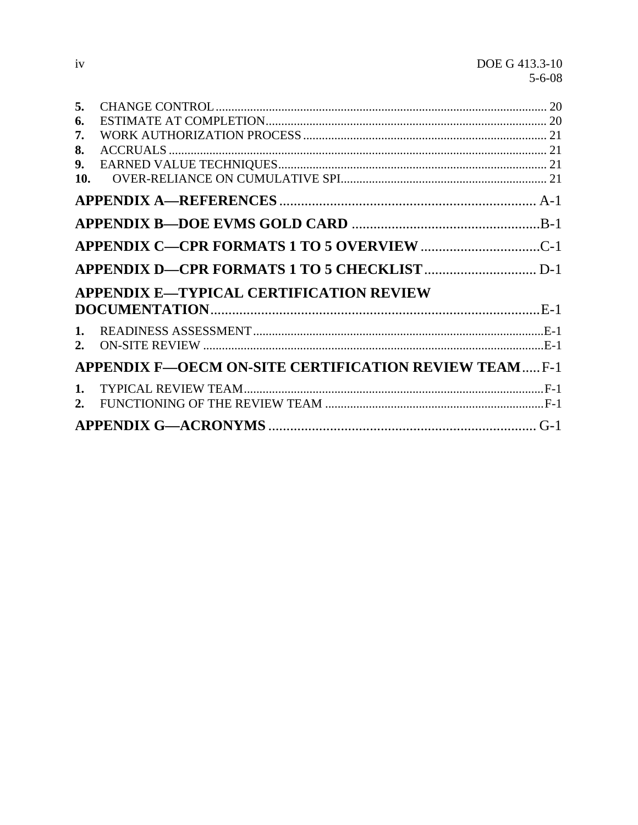| 6.<br>7.<br>8.<br>9.<br>10.<br><b>APPENDIX E-TYPICAL CERTIFICATION REVIEW</b><br>$\mathbf{1}$ .<br><b>APPENDIX F-OECM ON-SITE CERTIFICATION REVIEW TEAMF-1</b> | 5.             |  |
|----------------------------------------------------------------------------------------------------------------------------------------------------------------|----------------|--|
|                                                                                                                                                                |                |  |
|                                                                                                                                                                |                |  |
|                                                                                                                                                                |                |  |
|                                                                                                                                                                |                |  |
|                                                                                                                                                                |                |  |
|                                                                                                                                                                |                |  |
|                                                                                                                                                                |                |  |
|                                                                                                                                                                |                |  |
|                                                                                                                                                                |                |  |
|                                                                                                                                                                |                |  |
|                                                                                                                                                                |                |  |
|                                                                                                                                                                |                |  |
|                                                                                                                                                                |                |  |
|                                                                                                                                                                |                |  |
| 2.                                                                                                                                                             | $\mathbf{1}$ . |  |
|                                                                                                                                                                |                |  |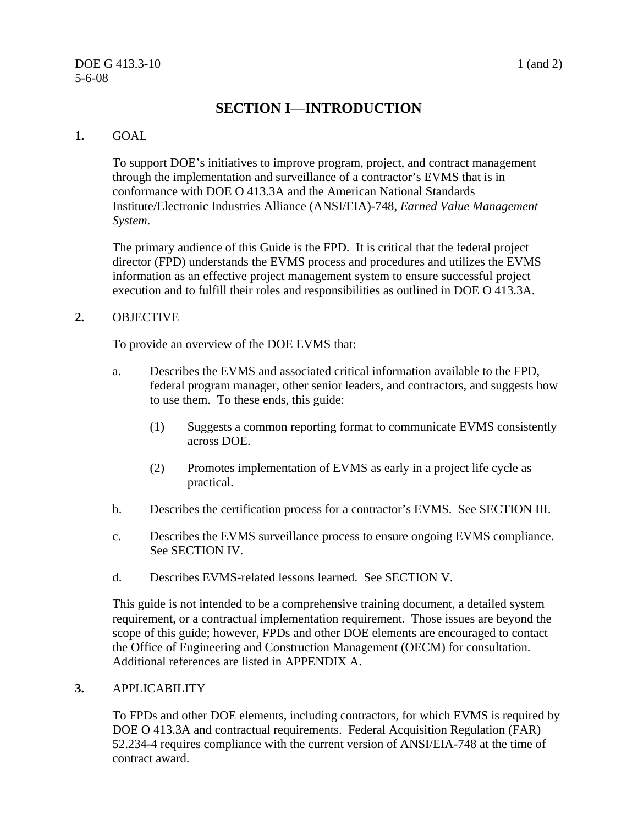#### $\overline{DOE G 413.3-10}$  1 (and 2) 5-6-08

## **SECTION I**—**INTRODUCTION**

#### **1.** GOAL

To support DOE's initiatives to improve program, project, and contract management through the implementation and surveillance of a contractor's EVMS that is in conformance with DOE O 413.3A and the American National Standards Institute/Electronic Industries Alliance (ANSI/EIA)-748, *Earned Value Management System*.

The primary audience of this Guide is the FPD. It is critical that the federal project director (FPD) understands the EVMS process and procedures and utilizes the EVMS information as an effective project management system to ensure successful project execution and to fulfill their roles and responsibilities as outlined in DOE O 413.3A.

#### **2.** OBJECTIVE

To provide an overview of the DOE EVMS that:

- a. Describes the EVMS and associated critical information available to the FPD, federal program manager, other senior leaders, and contractors, and suggests how to use them. To these ends, this guide:
	- (1) Suggests a common reporting format to communicate EVMS consistently across DOE.
	- (2) Promotes implementation of EVMS as early in a project life cycle as practical.
- b. Describes the certification process for a contractor's EVMS. See SECTION III.
- c. Describes the EVMS surveillance process to ensure ongoing EVMS compliance. See SECTION IV.
- d. Describes EVMS-related lessons learned. See SECTION V.

This guide is not intended to be a comprehensive training document, a detailed system requirement, or a contractual implementation requirement. Those issues are beyond the scope of this guide; however, FPDs and other DOE elements are encouraged to contact the Office of Engineering and Construction Management (OECM) for consultation. Additional references are listed in APPENDIX A.

#### **3.** APPLICABILITY

To FPDs and other DOE elements, including contractors, for which EVMS is required by DOE O 413.3A and contractual requirements. Federal Acquisition Regulation (FAR) 52.234-4 requires compliance with the current version of ANSI/EIA-748 at the time of contract award.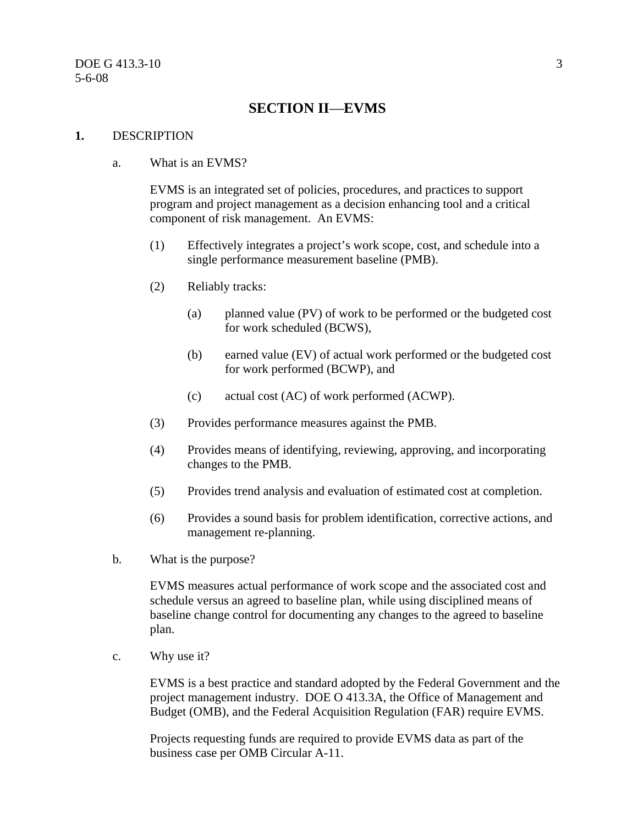### **SECTION II**—**EVMS**

#### **1.** DESCRIPTION

#### a. What is an EVMS?

EVMS is an integrated set of policies, procedures, and practices to support program and project management as a decision enhancing tool and a critical component of risk management. An EVMS:

- (1) Effectively integrates a project's work scope, cost, and schedule into a single performance measurement baseline (PMB).
- (2) Reliably tracks:
	- (a) planned value (PV) of work to be performed or the budgeted cost for work scheduled (BCWS),
	- (b) earned value (EV) of actual work performed or the budgeted cost for work performed (BCWP), and
	- (c) actual cost (AC) of work performed (ACWP).
- (3) Provides performance measures against the PMB.
- (4) Provides means of identifying, reviewing, approving, and incorporating changes to the PMB.
- (5) Provides trend analysis and evaluation of estimated cost at completion.
- (6) Provides a sound basis for problem identification, corrective actions, and management re-planning.
- b. What is the purpose?

EVMS measures actual performance of work scope and the associated cost and schedule versus an agreed to baseline plan, while using disciplined means of baseline change control for documenting any changes to the agreed to baseline plan.

c. Why use it?

EVMS is a best practice and standard adopted by the Federal Government and the project management industry. DOE O 413.3A, the Office of Management and Budget (OMB), and the Federal Acquisition Regulation (FAR) require EVMS.

Projects requesting funds are required to provide EVMS data as part of the business case per OMB Circular A-11.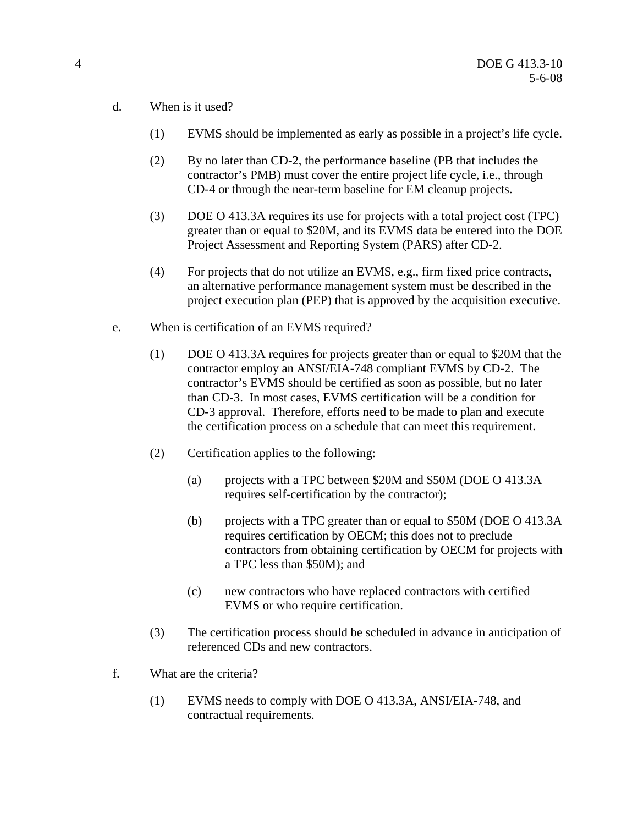- d. When is it used?
	- (1) EVMS should be implemented as early as possible in a project's life cycle.
	- (2) By no later than CD-2, the performance baseline (PB that includes the contractor's PMB) must cover the entire project life cycle, i.e., through CD-4 or through the near-term baseline for EM cleanup projects.
	- (3) DOE O 413.3A requires its use for projects with a total project cost (TPC) greater than or equal to \$20M, and its EVMS data be entered into the DOE Project Assessment and Reporting System (PARS) after CD-2.
	- (4) For projects that do not utilize an EVMS, e.g., firm fixed price contracts, an alternative performance management system must be described in the project execution plan (PEP) that is approved by the acquisition executive.
- e. When is certification of an EVMS required?
	- (1) DOE O 413.3A requires for projects greater than or equal to \$20M that the contractor employ an ANSI/EIA-748 compliant EVMS by CD-2. The contractor's EVMS should be certified as soon as possible, but no later than CD-3. In most cases, EVMS certification will be a condition for CD-3 approval. Therefore, efforts need to be made to plan and execute the certification process on a schedule that can meet this requirement.
	- (2) Certification applies to the following:
		- (a) projects with a TPC between \$20M and \$50M (DOE O 413.3A requires self-certification by the contractor);
		- (b) projects with a TPC greater than or equal to \$50M (DOE O 413.3A requires certification by OECM; this does not to preclude contractors from obtaining certification by OECM for projects with a TPC less than \$50M); and
		- (c) new contractors who have replaced contractors with certified EVMS or who require certification.
	- (3) The certification process should be scheduled in advance in anticipation of referenced CDs and new contractors.
- f. What are the criteria?
	- (1) EVMS needs to comply with DOE O 413.3A, ANSI/EIA-748, and contractual requirements.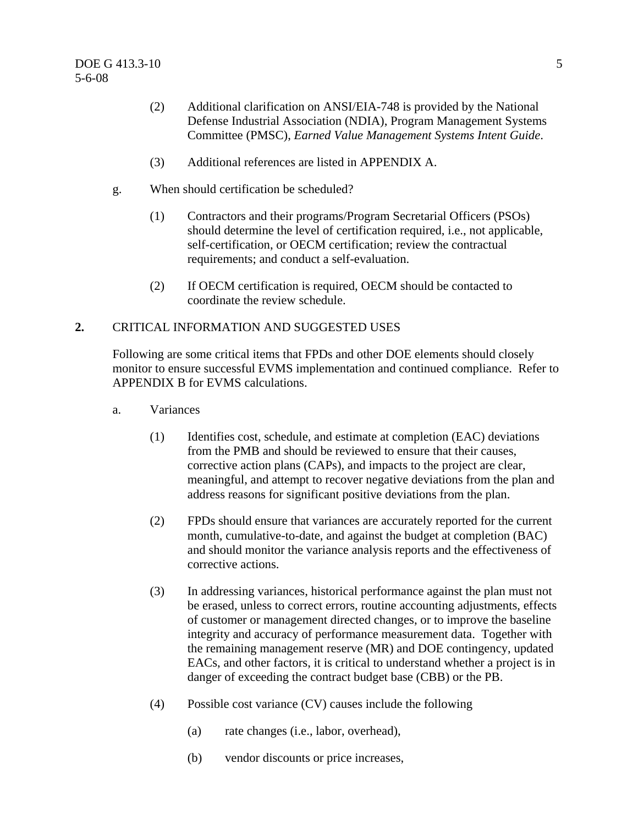- (2) Additional clarification on ANSI/EIA-748 is provided by the National Defense Industrial Association (NDIA), Program Management Systems Committee (PMSC), *Earned Value Management Systems Intent Guide*.
- (3) Additional references are listed in APPENDIX A.
- g. When should certification be scheduled?
	- (1) Contractors and their programs/Program Secretarial Officers (PSOs) should determine the level of certification required, i.e., not applicable, self-certification, or OECM certification; review the contractual requirements; and conduct a self-evaluation.
	- (2) If OECM certification is required, OECM should be contacted to coordinate the review schedule.

#### **2.** CRITICAL INFORMATION AND SUGGESTED USES

Following are some critical items that FPDs and other DOE elements should closely monitor to ensure successful EVMS implementation and continued compliance. Refer to APPENDIX B for EVMS calculations.

- a. Variances
	- (1) Identifies cost, schedule, and estimate at completion (EAC) deviations from the PMB and should be reviewed to ensure that their causes, corrective action plans (CAPs), and impacts to the project are clear, meaningful, and attempt to recover negative deviations from the plan and address reasons for significant positive deviations from the plan.
	- (2) FPDs should ensure that variances are accurately reported for the current month, cumulative-to-date, and against the budget at completion (BAC) and should monitor the variance analysis reports and the effectiveness of corrective actions.
	- (3) In addressing variances, historical performance against the plan must not be erased, unless to correct errors, routine accounting adjustments, effects of customer or management directed changes, or to improve the baseline integrity and accuracy of performance measurement data. Together with the remaining management reserve (MR) and DOE contingency, updated EACs, and other factors, it is critical to understand whether a project is in danger of exceeding the contract budget base (CBB) or the PB.
	- (4) Possible cost variance (CV) causes include the following
		- (a) rate changes (i.e., labor, overhead),
		- (b) vendor discounts or price increases,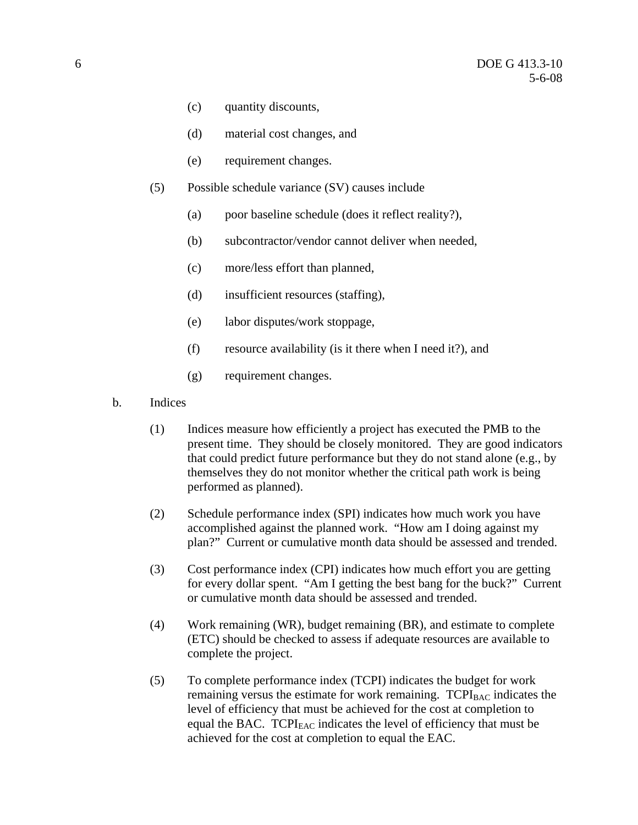- (c) quantity discounts,
- (d) material cost changes, and
- (e) requirement changes.
- (5) Possible schedule variance (SV) causes include
	- (a) poor baseline schedule (does it reflect reality?),
	- (b) subcontractor/vendor cannot deliver when needed,
	- (c) more/less effort than planned,
	- (d) insufficient resources (staffing),
	- (e) labor disputes/work stoppage,
	- (f) resource availability (is it there when I need it?), and
	- (g) requirement changes.
- b. Indices
	- (1) Indices measure how efficiently a project has executed the PMB to the present time. They should be closely monitored. They are good indicators that could predict future performance but they do not stand alone (e.g., by themselves they do not monitor whether the critical path work is being performed as planned).
	- (2) Schedule performance index (SPI) indicates how much work you have accomplished against the planned work. "How am I doing against my plan?" Current or cumulative month data should be assessed and trended.
	- (3) Cost performance index (CPI) indicates how much effort you are getting for every dollar spent. "Am I getting the best bang for the buck?" Current or cumulative month data should be assessed and trended.
	- (4) Work remaining (WR), budget remaining (BR), and estimate to complete (ETC) should be checked to assess if adequate resources are available to complete the project.
	- (5) To complete performance index (TCPI) indicates the budget for work remaining versus the estimate for work remaining.  $TCPI<sub>BAC</sub>$  indicates the level of efficiency that must be achieved for the cost at completion to equal the BAC.  $TCPI<sub>EAC</sub>$  indicates the level of efficiency that must be achieved for the cost at completion to equal the EAC.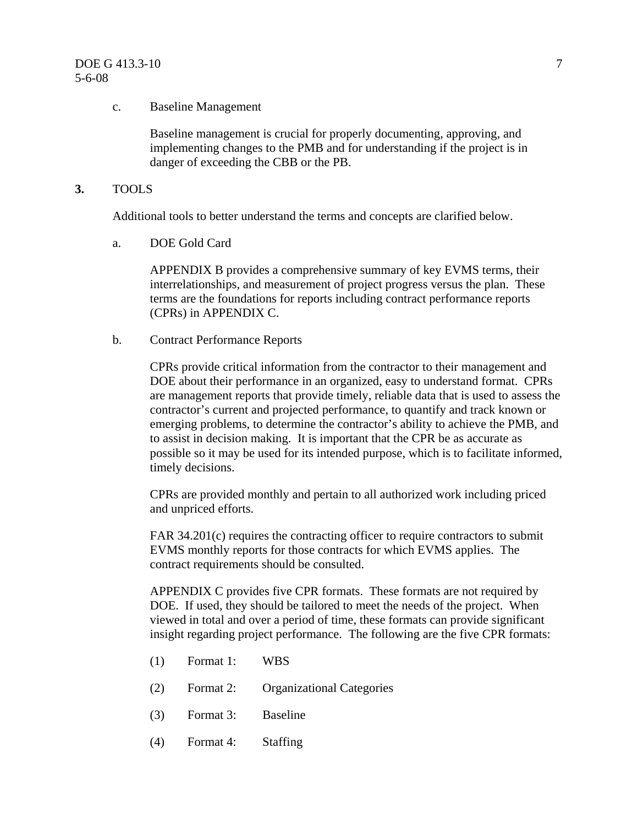#### c. Baseline Management

Baseline management is crucial for properly documenting, approving, and implementing changes to the PMB and for understanding if the project is in danger of exceeding the CBB or the PB.

**3.** TOOLS

Additional tools to better understand the terms and concepts are clarified below.

a. DOE Gold Card

APPENDIX B provides a comprehensive summary of key EVMS terms, their interrelationships, and measurement of project progress versus the plan. These terms are the foundations for reports including contract performance reports (CPRs) in APPENDIX C.

b. Contract Performance Reports

CPRs provide critical information from the contractor to their management and DOE about their performance in an organized, easy to understand format. CPRs are management reports that provide timely, reliable data that is used to assess the contractor's current and projected performance, to quantify and track known or emerging problems, to determine the contractor's ability to achieve the PMB, and to assist in decision making. It is important that the CPR be as accurate as possible so it may be used for its intended purpose, which is to facilitate informed, timely decisions.

CPRs are provided monthly and pertain to all authorized work including priced and unpriced efforts.

FAR 34.201(c) requires the contracting officer to require contractors to submit EVMS monthly reports for those contracts for which EVMS applies. The contract requirements should be consulted.

APPENDIX C provides five CPR formats. These formats are not required by DOE. If used, they should be tailored to meet the needs of the project. When viewed in total and over a period of time, these formats can provide significant insight regarding project performance. The following are the five CPR formats:

- (1) Format 1: WBS
- (2) Format 2: Organizational Categories
- (3) Format 3: Baseline
- (4) Format 4: Staffing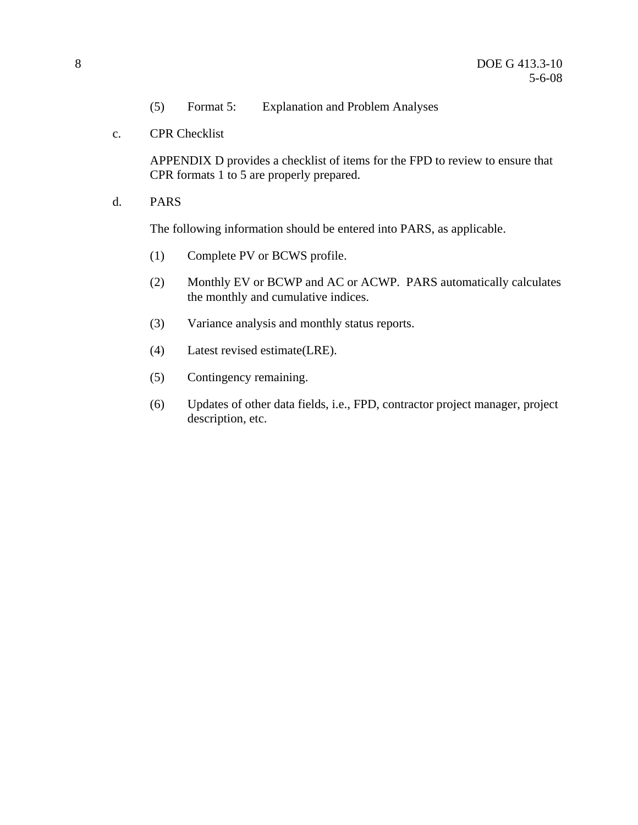- (5) Format 5: Explanation and Problem Analyses
- c. CPR Checklist

APPENDIX D provides a checklist of items for the FPD to review to ensure that CPR formats 1 to 5 are properly prepared.

d. PARS

The following information should be entered into PARS, as applicable.

- (1) Complete PV or BCWS profile.
- (2) Monthly EV or BCWP and AC or ACWP. PARS automatically calculates the monthly and cumulative indices.
- (3) Variance analysis and monthly status reports.
- (4) Latest revised estimate(LRE).
- (5) Contingency remaining.
- (6) Updates of other data fields, i.e., FPD, contractor project manager, project description, etc.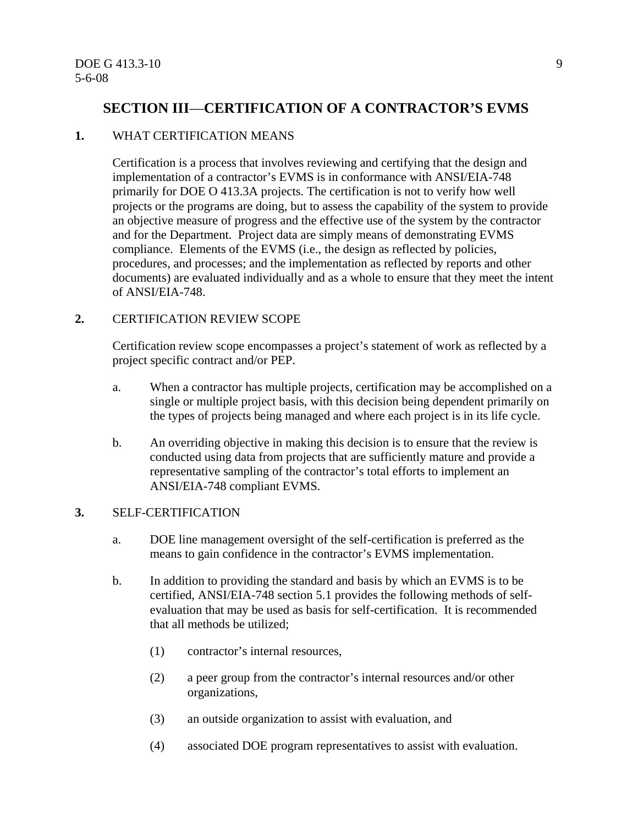## **SECTION III**—**CERTIFICATION OF A CONTRACTOR'S EVMS**

#### **1.** WHAT CERTIFICATION MEANS

Certification is a process that involves reviewing and certifying that the design and implementation of a contractor's EVMS is in conformance with ANSI/EIA-748 primarily for DOE O 413.3A projects. The certification is not to verify how well projects or the programs are doing, but to assess the capability of the system to provide an objective measure of progress and the effective use of the system by the contractor and for the Department. Project data are simply means of demonstrating EVMS compliance. Elements of the EVMS (i.e., the design as reflected by policies, procedures, and processes; and the implementation as reflected by reports and other documents) are evaluated individually and as a whole to ensure that they meet the intent of ANSI/EIA-748.

#### **2.** CERTIFICATION REVIEW SCOPE

Certification review scope encompasses a project's statement of work as reflected by a project specific contract and/or PEP.

- a. When a contractor has multiple projects, certification may be accomplished on a single or multiple project basis, with this decision being dependent primarily on the types of projects being managed and where each project is in its life cycle.
- b. An overriding objective in making this decision is to ensure that the review is conducted using data from projects that are sufficiently mature and provide a representative sampling of the contractor's total efforts to implement an ANSI/EIA-748 compliant EVMS.

#### **3.** SELF-CERTIFICATION

- a. DOE line management oversight of the self-certification is preferred as the means to gain confidence in the contractor's EVMS implementation.
- b. In addition to providing the standard and basis by which an EVMS is to be certified, ANSI/EIA-748 section 5.1 provides the following methods of selfevaluation that may be used as basis for self-certification. It is recommended that all methods be utilized;
	- (1) contractor's internal resources,
	- (2) a peer group from the contractor's internal resources and/or other organizations,
	- (3) an outside organization to assist with evaluation, and
	- (4) associated DOE program representatives to assist with evaluation.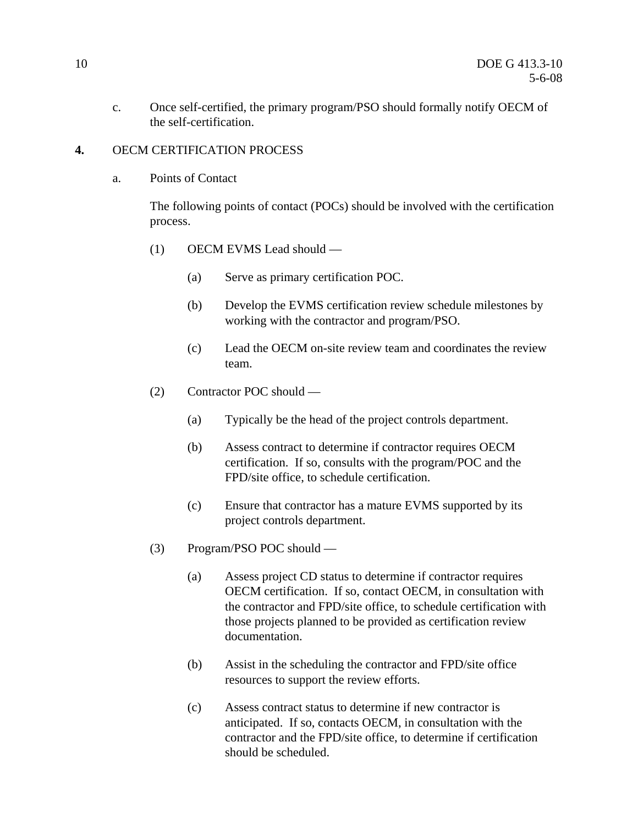c. Once self-certified, the primary program/PSO should formally notify OECM of the self-certification.

#### **4.** OECM CERTIFICATION PROCESS

a. Points of Contact

The following points of contact (POCs) should be involved with the certification process.

- (1) OECM EVMS Lead should
	- (a) Serve as primary certification POC.
	- (b) Develop the EVMS certification review schedule milestones by working with the contractor and program/PSO.
	- (c) Lead the OECM on-site review team and coordinates the review team.
- (2) Contractor POC should
	- (a) Typically be the head of the project controls department.
	- (b) Assess contract to determine if contractor requires OECM certification. If so, consults with the program/POC and the FPD/site office, to schedule certification.
	- (c) Ensure that contractor has a mature EVMS supported by its project controls department.
- (3) Program/PSO POC should
	- (a) Assess project CD status to determine if contractor requires OECM certification. If so, contact OECM, in consultation with the contractor and FPD/site office, to schedule certification with those projects planned to be provided as certification review documentation.
	- (b) Assist in the scheduling the contractor and FPD/site office resources to support the review efforts.
	- (c) Assess contract status to determine if new contractor is anticipated. If so, contacts OECM, in consultation with the contractor and the FPD/site office, to determine if certification should be scheduled.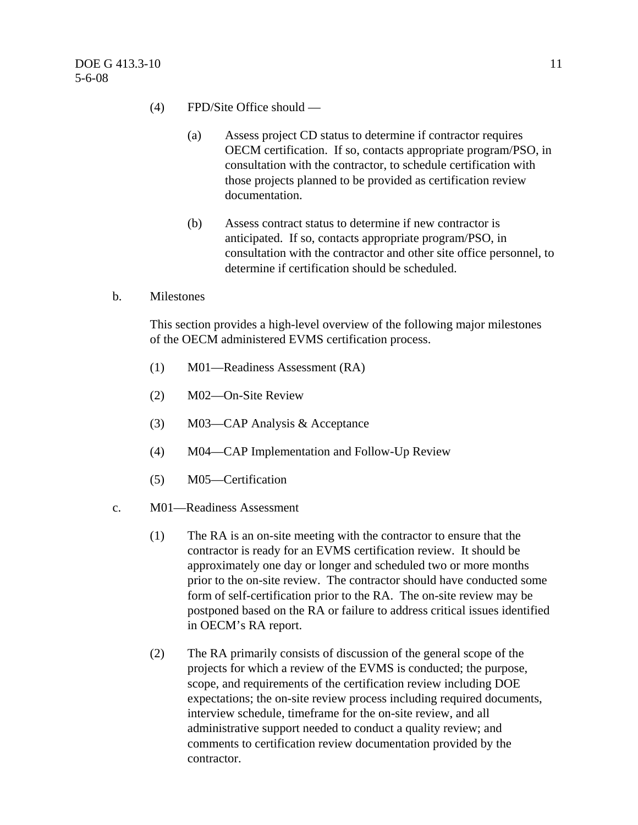- (4) FPD/Site Office should
	- (a) Assess project CD status to determine if contractor requires OECM certification. If so, contacts appropriate program/PSO, in consultation with the contractor, to schedule certification with those projects planned to be provided as certification review documentation.
	- (b) Assess contract status to determine if new contractor is anticipated. If so, contacts appropriate program/PSO, in consultation with the contractor and other site office personnel, to determine if certification should be scheduled.
- b. Milestones

This section provides a high-level overview of the following major milestones of the OECM administered EVMS certification process.

- (1) M01—Readiness Assessment (RA)
- (2) M02—On-Site Review
- (3) M03—CAP Analysis & Acceptance
- (4) M04—CAP Implementation and Follow-Up Review
- (5) M05—Certification
- c. M01—Readiness Assessment
	- (1) The RA is an on-site meeting with the contractor to ensure that the contractor is ready for an EVMS certification review. It should be approximately one day or longer and scheduled two or more months prior to the on-site review. The contractor should have conducted some form of self-certification prior to the RA. The on-site review may be postponed based on the RA or failure to address critical issues identified in OECM's RA report.
	- (2) The RA primarily consists of discussion of the general scope of the projects for which a review of the EVMS is conducted; the purpose, scope, and requirements of the certification review including DOE expectations; the on-site review process including required documents, interview schedule, timeframe for the on-site review, and all administrative support needed to conduct a quality review; and comments to certification review documentation provided by the contractor.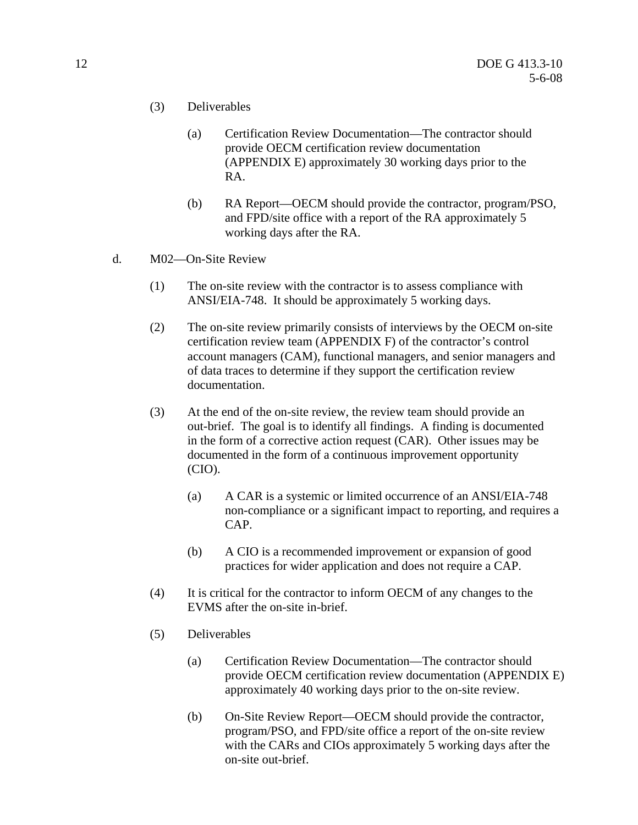- (3) Deliverables
	- (a) Certification Review Documentation—The contractor should provide OECM certification review documentation (APPENDIX E) approximately 30 working days prior to the RA.
	- (b) RA Report—OECM should provide the contractor, program/PSO, and FPD/site office with a report of the RA approximately 5 working days after the RA.
- d. M02—On-Site Review
	- (1) The on-site review with the contractor is to assess compliance with ANSI/EIA-748. It should be approximately 5 working days.
	- (2) The on-site review primarily consists of interviews by the OECM on-site certification review team (APPENDIX F) of the contractor's control account managers (CAM), functional managers, and senior managers and of data traces to determine if they support the certification review documentation.
	- (3) At the end of the on-site review, the review team should provide an out-brief. The goal is to identify all findings. A finding is documented in the form of a corrective action request (CAR). Other issues may be documented in the form of a continuous improvement opportunity (CIO).
		- (a) A CAR is a systemic or limited occurrence of an ANSI/EIA-748 non-compliance or a significant impact to reporting, and requires a CAP.
		- (b) A CIO is a recommended improvement or expansion of good practices for wider application and does not require a CAP.
	- (4) It is critical for the contractor to inform OECM of any changes to the EVMS after the on-site in-brief.
	- (5) Deliverables
		- (a) Certification Review Documentation—The contractor should provide OECM certification review documentation (APPENDIX E) approximately 40 working days prior to the on-site review.
		- (b) On-Site Review Report—OECM should provide the contractor, program/PSO, and FPD/site office a report of the on-site review with the CARs and CIOs approximately 5 working days after the on-site out-brief.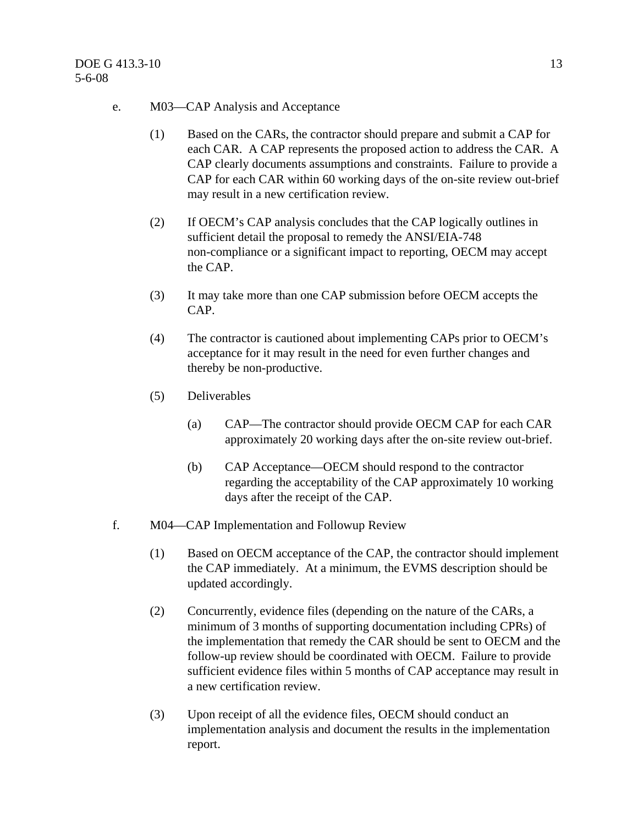- e. M03—CAP Analysis and Acceptance
	- (1) Based on the CARs, the contractor should prepare and submit a CAP for each CAR. A CAP represents the proposed action to address the CAR. A CAP clearly documents assumptions and constraints. Failure to provide a CAP for each CAR within 60 working days of the on-site review out-brief may result in a new certification review.
	- (2) If OECM's CAP analysis concludes that the CAP logically outlines in sufficient detail the proposal to remedy the ANSI/EIA-748 non-compliance or a significant impact to reporting, OECM may accept the CAP.
	- (3) It may take more than one CAP submission before OECM accepts the CAP.
	- (4) The contractor is cautioned about implementing CAPs prior to OECM's acceptance for it may result in the need for even further changes and thereby be non-productive.
	- (5) Deliverables
		- (a) CAP—The contractor should provide OECM CAP for each CAR approximately 20 working days after the on-site review out-brief.
		- (b) CAP Acceptance—OECM should respond to the contractor regarding the acceptability of the CAP approximately 10 working days after the receipt of the CAP.
- f. M04—CAP Implementation and Followup Review
	- (1) Based on OECM acceptance of the CAP, the contractor should implement the CAP immediately. At a minimum, the EVMS description should be updated accordingly.
	- (2) Concurrently, evidence files (depending on the nature of the CARs, a minimum of 3 months of supporting documentation including CPRs) of the implementation that remedy the CAR should be sent to OECM and the follow-up review should be coordinated with OECM. Failure to provide sufficient evidence files within 5 months of CAP acceptance may result in a new certification review.
	- (3) Upon receipt of all the evidence files, OECM should conduct an implementation analysis and document the results in the implementation report.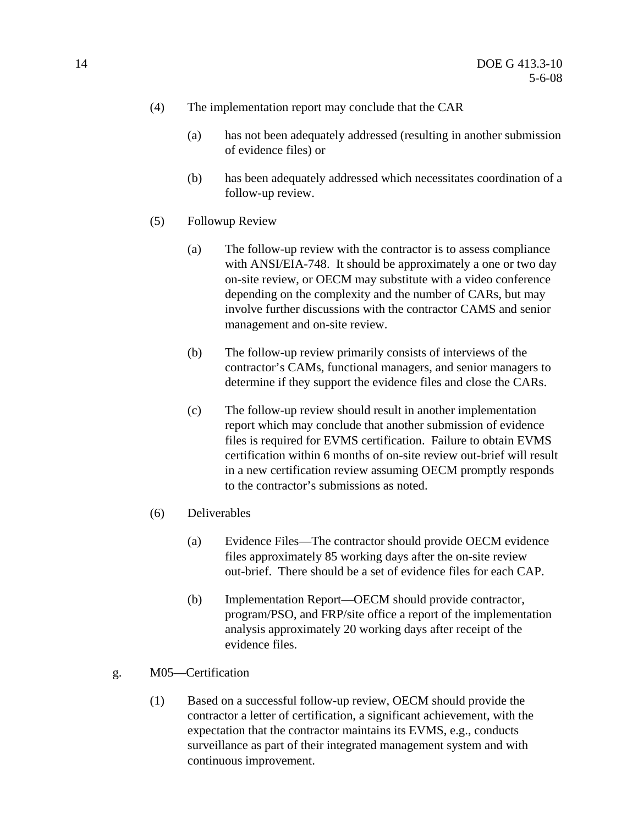- (4) The implementation report may conclude that the CAR
	- (a) has not been adequately addressed (resulting in another submission of evidence files) or
	- (b) has been adequately addressed which necessitates coordination of a follow-up review.
- (5) Followup Review
	- (a) The follow-up review with the contractor is to assess compliance with ANSI/EIA-748. It should be approximately a one or two day on-site review, or OECM may substitute with a video conference depending on the complexity and the number of CARs, but may involve further discussions with the contractor CAMS and senior management and on-site review.
	- (b) The follow-up review primarily consists of interviews of the contractor's CAMs, functional managers, and senior managers to determine if they support the evidence files and close the CARs.
	- (c) The follow-up review should result in another implementation report which may conclude that another submission of evidence files is required for EVMS certification. Failure to obtain EVMS certification within 6 months of on-site review out-brief will result in a new certification review assuming OECM promptly responds to the contractor's submissions as noted.
- (6) Deliverables
	- (a) Evidence Files—The contractor should provide OECM evidence files approximately 85 working days after the on-site review out-brief. There should be a set of evidence files for each CAP.
	- (b) Implementation Report—OECM should provide contractor, program/PSO, and FRP/site office a report of the implementation analysis approximately 20 working days after receipt of the evidence files.
- g. M05—Certification
	- (1) Based on a successful follow-up review, OECM should provide the contractor a letter of certification, a significant achievement, with the expectation that the contractor maintains its EVMS, e.g., conducts surveillance as part of their integrated management system and with continuous improvement.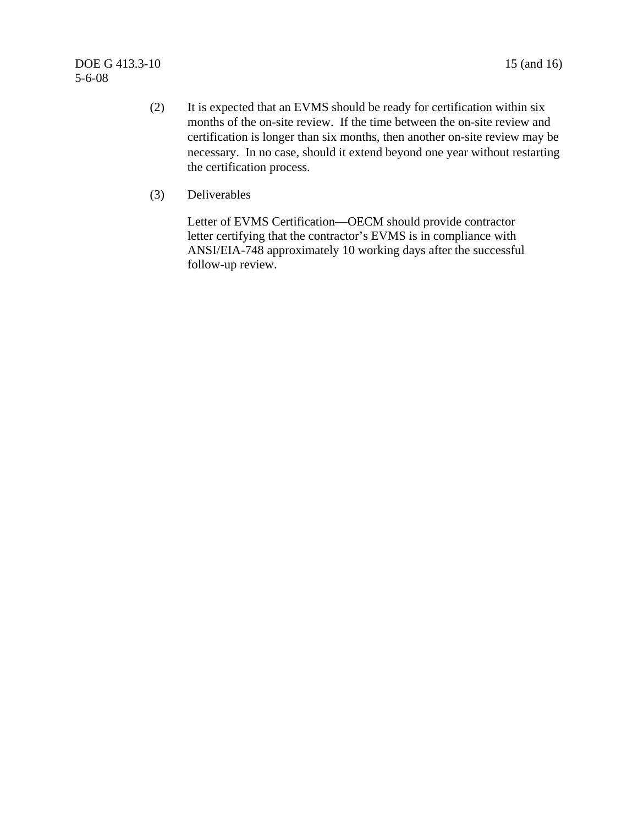- (2) It is expected that an EVMS should be ready for certification within six months of the on-site review. If the time between the on-site review and certification is longer than six months, then another on-site review may be necessary. In no case, should it extend beyond one year without restarting the certification process.
- (3) Deliverables

Letter of EVMS Certification—OECM should provide contractor letter certifying that the contractor's EVMS is in compliance with ANSI/EIA-748 approximately 10 working days after the successful follow-up review.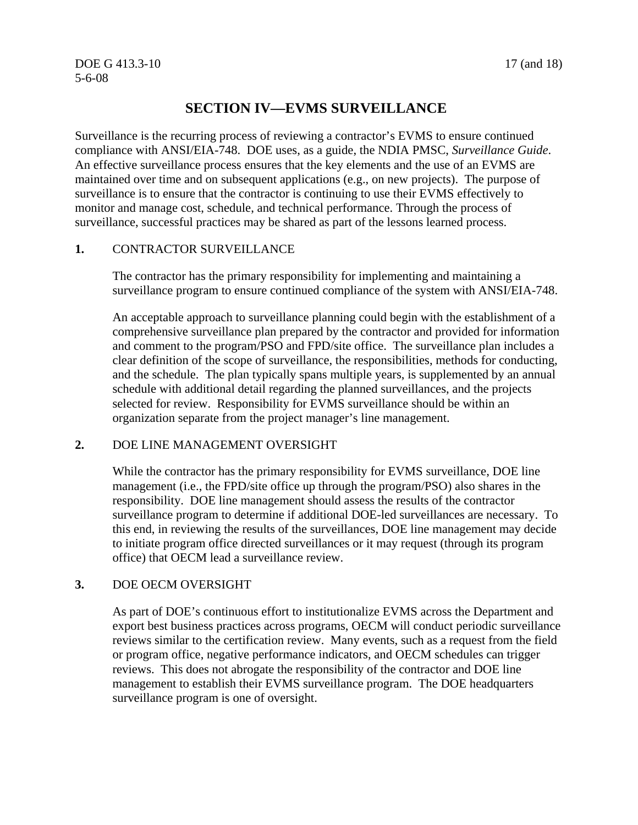## **SECTION IV—EVMS SURVEILLANCE**

Surveillance is the recurring process of reviewing a contractor's EVMS to ensure continued compliance with ANSI/EIA-748. DOE uses, as a guide, the NDIA PMSC, *Surveillance Guide*. An effective surveillance process ensures that the key elements and the use of an EVMS are maintained over time and on subsequent applications (e.g., on new projects). The purpose of surveillance is to ensure that the contractor is continuing to use their EVMS effectively to monitor and manage cost, schedule, and technical performance. Through the process of surveillance, successful practices may be shared as part of the lessons learned process.

#### **1.** CONTRACTOR SURVEILLANCE

The contractor has the primary responsibility for implementing and maintaining a surveillance program to ensure continued compliance of the system with ANSI/EIA-748.

An acceptable approach to surveillance planning could begin with the establishment of a comprehensive surveillance plan prepared by the contractor and provided for information and comment to the program/PSO and FPD/site office. The surveillance plan includes a clear definition of the scope of surveillance, the responsibilities, methods for conducting, and the schedule. The plan typically spans multiple years, is supplemented by an annual schedule with additional detail regarding the planned surveillances, and the projects selected for review. Responsibility for EVMS surveillance should be within an organization separate from the project manager's line management.

#### **2.** DOE LINE MANAGEMENT OVERSIGHT

While the contractor has the primary responsibility for EVMS surveillance, DOE line management (i.e., the FPD/site office up through the program/PSO) also shares in the responsibility. DOE line management should assess the results of the contractor surveillance program to determine if additional DOE-led surveillances are necessary. To this end, in reviewing the results of the surveillances, DOE line management may decide to initiate program office directed surveillances or it may request (through its program office) that OECM lead a surveillance review.

#### **3.** DOE OECM OVERSIGHT

As part of DOE's continuous effort to institutionalize EVMS across the Department and export best business practices across programs, OECM will conduct periodic surveillance reviews similar to the certification review. Many events, such as a request from the field or program office, negative performance indicators, and OECM schedules can trigger reviews. This does not abrogate the responsibility of the contractor and DOE line management to establish their EVMS surveillance program. The DOE headquarters surveillance program is one of oversight.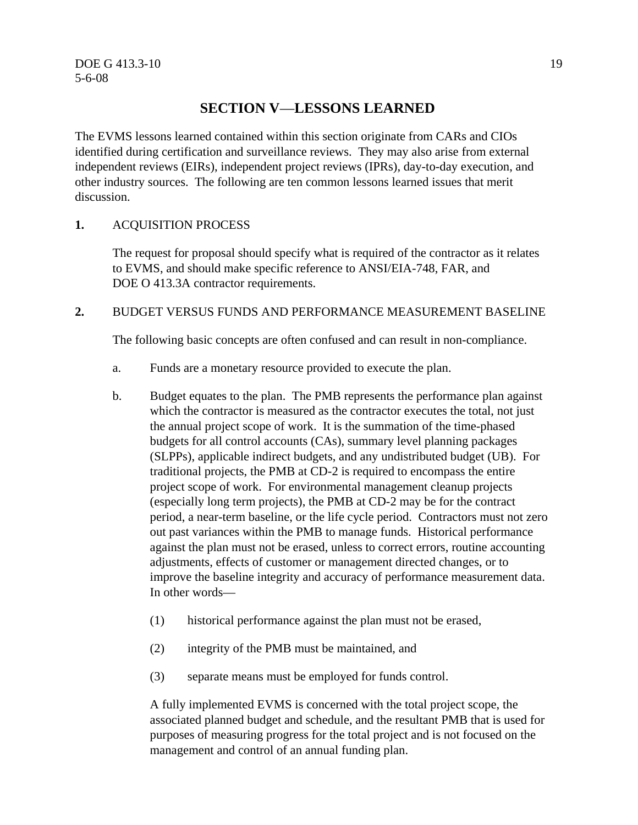## **SECTION V**—**LESSONS LEARNED**

The EVMS lessons learned contained within this section originate from CARs and CIOs identified during certification and surveillance reviews. They may also arise from external independent reviews (EIRs), independent project reviews (IPRs), day-to-day execution, and other industry sources. The following are ten common lessons learned issues that merit discussion.

#### **1.** ACQUISITION PROCESS

The request for proposal should specify what is required of the contractor as it relates to EVMS, and should make specific reference to ANSI/EIA-748, FAR, and DOE O 413.3A contractor requirements.

#### **2.** BUDGET VERSUS FUNDS AND PERFORMANCE MEASUREMENT BASELINE

The following basic concepts are often confused and can result in non-compliance.

- a. Funds are a monetary resource provided to execute the plan.
- b. Budget equates to the plan. The PMB represents the performance plan against which the contractor is measured as the contractor executes the total, not just the annual project scope of work. It is the summation of the time-phased budgets for all control accounts (CAs), summary level planning packages (SLPPs), applicable indirect budgets, and any undistributed budget (UB). For traditional projects, the PMB at CD-2 is required to encompass the entire project scope of work. For environmental management cleanup projects (especially long term projects), the PMB at CD-2 may be for the contract period, a near-term baseline, or the life cycle period. Contractors must not zero out past variances within the PMB to manage funds. Historical performance against the plan must not be erased, unless to correct errors, routine accounting adjustments, effects of customer or management directed changes, or to improve the baseline integrity and accuracy of performance measurement data. In other words—
	- (1) historical performance against the plan must not be erased,
	- (2) integrity of the PMB must be maintained, and
	- (3) separate means must be employed for funds control.

A fully implemented EVMS is concerned with the total project scope, the associated planned budget and schedule, and the resultant PMB that is used for purposes of measuring progress for the total project and is not focused on the management and control of an annual funding plan.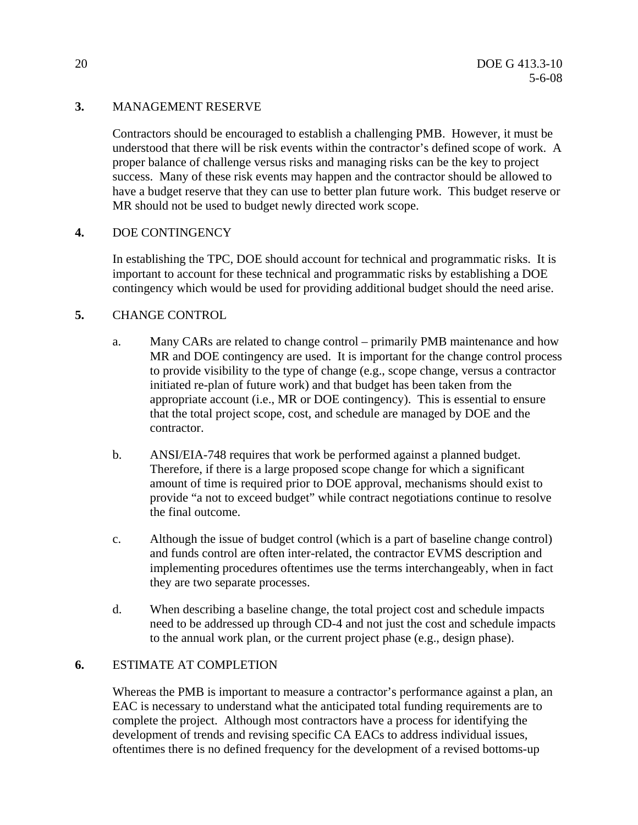#### **3.** MANAGEMENT RESERVE

Contractors should be encouraged to establish a challenging PMB. However, it must be understood that there will be risk events within the contractor's defined scope of work. A proper balance of challenge versus risks and managing risks can be the key to project success. Many of these risk events may happen and the contractor should be allowed to have a budget reserve that they can use to better plan future work. This budget reserve or MR should not be used to budget newly directed work scope.

#### **4.** DOE CONTINGENCY

In establishing the TPC, DOE should account for technical and programmatic risks. It is important to account for these technical and programmatic risks by establishing a DOE contingency which would be used for providing additional budget should the need arise.

#### **5.** CHANGE CONTROL

- a. Many CARs are related to change control primarily PMB maintenance and how MR and DOE contingency are used. It is important for the change control process to provide visibility to the type of change (e.g., scope change, versus a contractor initiated re-plan of future work) and that budget has been taken from the appropriate account (i.e., MR or DOE contingency). This is essential to ensure that the total project scope, cost, and schedule are managed by DOE and the contractor.
- b. ANSI/EIA-748 requires that work be performed against a planned budget. Therefore, if there is a large proposed scope change for which a significant amount of time is required prior to DOE approval, mechanisms should exist to provide "a not to exceed budget" while contract negotiations continue to resolve the final outcome.
- c. Although the issue of budget control (which is a part of baseline change control) and funds control are often inter-related, the contractor EVMS description and implementing procedures oftentimes use the terms interchangeably, when in fact they are two separate processes.
- d. When describing a baseline change, the total project cost and schedule impacts need to be addressed up through CD-4 and not just the cost and schedule impacts to the annual work plan, or the current project phase (e.g., design phase).

#### **6.** ESTIMATE AT COMPLETION

Whereas the PMB is important to measure a contractor's performance against a plan, an EAC is necessary to understand what the anticipated total funding requirements are to complete the project. Although most contractors have a process for identifying the development of trends and revising specific CA EACs to address individual issues, oftentimes there is no defined frequency for the development of a revised bottoms-up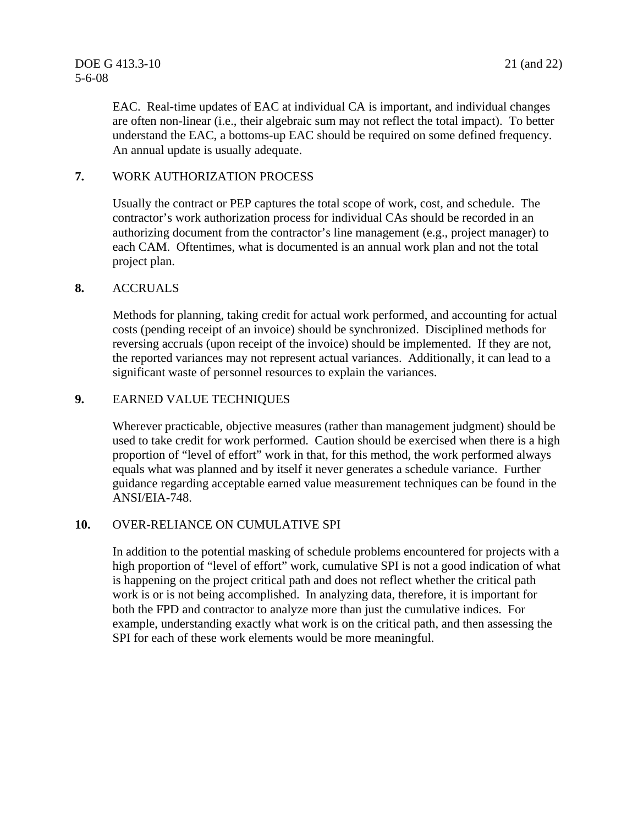EAC. Real-time updates of EAC at individual CA is important, and individual changes are often non-linear (i.e., their algebraic sum may not reflect the total impact). To better understand the EAC, a bottoms-up EAC should be required on some defined frequency. An annual update is usually adequate.

#### **7.** WORK AUTHORIZATION PROCESS

Usually the contract or PEP captures the total scope of work, cost, and schedule. The contractor's work authorization process for individual CAs should be recorded in an authorizing document from the contractor's line management (e.g., project manager) to each CAM. Oftentimes, what is documented is an annual work plan and not the total project plan.

#### **8.** ACCRUALS

Methods for planning, taking credit for actual work performed, and accounting for actual costs (pending receipt of an invoice) should be synchronized. Disciplined methods for reversing accruals (upon receipt of the invoice) should be implemented. If they are not, the reported variances may not represent actual variances. Additionally, it can lead to a significant waste of personnel resources to explain the variances.

#### **9.** EARNED VALUE TECHNIQUES

Wherever practicable, objective measures (rather than management judgment) should be used to take credit for work performed. Caution should be exercised when there is a high proportion of "level of effort" work in that, for this method, the work performed always equals what was planned and by itself it never generates a schedule variance. Further guidance regarding acceptable earned value measurement techniques can be found in the ANSI/EIA-748.

#### **10.** OVER-RELIANCE ON CUMULATIVE SPI

In addition to the potential masking of schedule problems encountered for projects with a high proportion of "level of effort" work, cumulative SPI is not a good indication of what is happening on the project critical path and does not reflect whether the critical path work is or is not being accomplished. In analyzing data, therefore, it is important for both the FPD and contractor to analyze more than just the cumulative indices. For example, understanding exactly what work is on the critical path, and then assessing the SPI for each of these work elements would be more meaningful.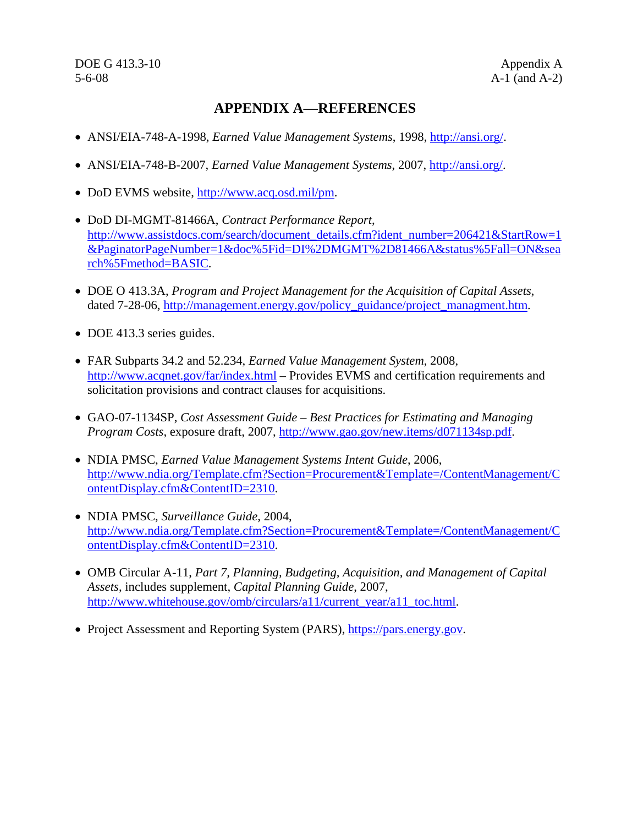DOE G 413.3-10 Appendix A 5-6-08 A-1 (and A-2)

### **APPENDIX A—REFERENCES**

- ANSI/EIA-748-A-1998, *Earned Value Management Systems*, 1998, http://ansi.org/.
- ANSI/EIA-748-B-2007, *Earned Value Management Systems*, 2007, http://ansi.org/.
- DoD EVMS website, http://www.acq.osd.mil/pm.
- DoD DI-MGMT-81466A, *Contract Performance Report*, http://www.assistdocs.com/search/document\_details.cfm?ident\_number=206421&StartRow=1 &PaginatorPageNumber=1&doc%5Fid=DI%2DMGMT%2D81466A&status%5Fall=ON&sea rch%5Fmethod=BASIC.
- DOE O 413.3A, *Program and Project Management for the Acquisition of Capital Assets*, dated 7-28-06, http://management.energy.gov/policy\_guidance/project\_managment.htm.
- DOE 413.3 series guides.
- FAR Subparts 34.2 and 52.234, *Earned Value Management System*, 2008, http://www.acqnet.gov/far/index.html – Provides EVMS and certification requirements and solicitation provisions and contract clauses for acquisitions.
- GAO-07-1134SP, *Cost Assessment Guide Best Practices for Estimating and Managing Program Costs*, exposure draft, 2007, http://www.gao.gov/new.items/d071134sp.pdf.
- NDIA PMSC, *Earned Value Management Systems Intent Guide*, 2006, http://www.ndia.org/Template.cfm?Section=Procurement&Template=/ContentManagement/C ontentDisplay.cfm&ContentID=2310.
- NDIA PMSC, *Surveillance Guide*, 2004, http://www.ndia.org/Template.cfm?Section=Procurement&Template=/ContentManagement/C ontentDisplay.cfm&ContentID=2310.
- OMB Circular A-11, *Part 7, Planning, Budgeting, Acquisition, and Management of Capital Assets*, includes supplement, *Capital Planning Guide*, 2007, http://www.whitehouse.gov/omb/circulars/a11/current\_year/a11\_toc.html.
- Project Assessment and Reporting System (PARS), https://pars.energy.gov.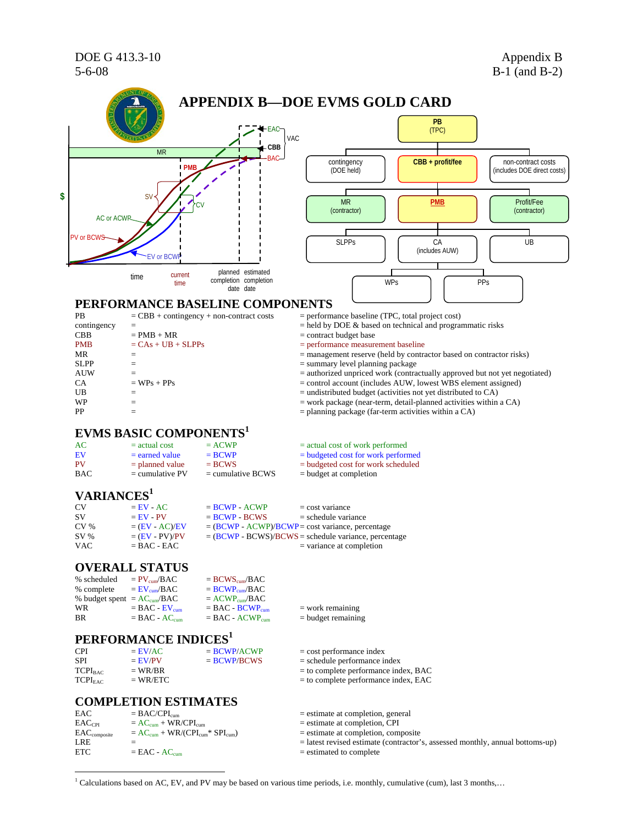

<sup>1</sup> Calculations based on AC, EV, and PV may be based on various time periods, i.e. monthly, cumulative (cum), last 3 months,...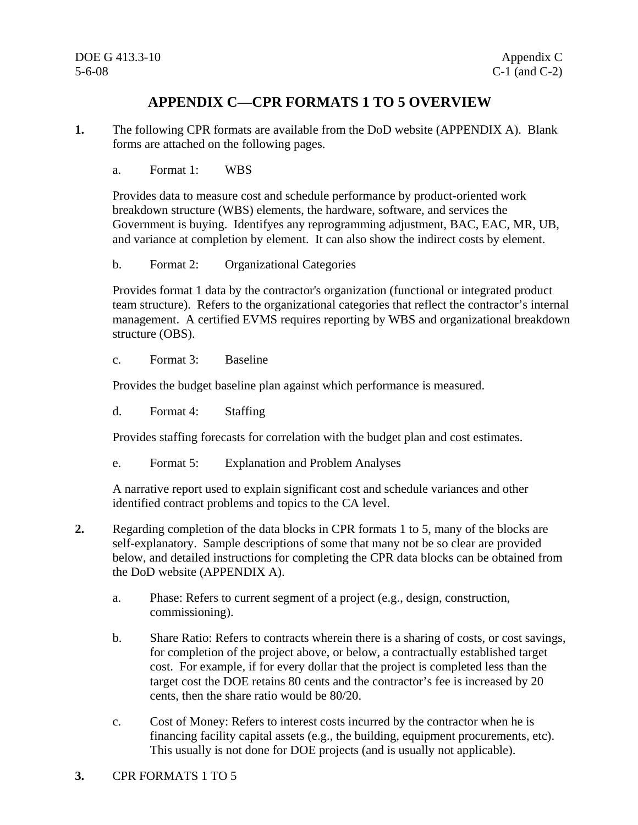## **APPENDIX C—CPR FORMATS 1 TO 5 OVERVIEW**

- **1.** The following CPR formats are available from the DoD website (APPENDIX A). Blank forms are attached on the following pages.
	- a. Format 1: WBS

Provides data to measure cost and schedule performance by product-oriented work breakdown structure (WBS) elements, the hardware, software, and services the Government is buying. Identifyes any reprogramming adjustment, BAC, EAC, MR, UB, and variance at completion by element. It can also show the indirect costs by element.

b. Format 2: Organizational Categories

Provides format 1 data by the contractor's organization (functional or integrated product team structure). Refers to the organizational categories that reflect the contractor's internal management. A certified EVMS requires reporting by WBS and organizational breakdown structure (OBS).

c. Format 3: Baseline

Provides the budget baseline plan against which performance is measured.

d. Format 4: Staffing

Provides staffing forecasts for correlation with the budget plan and cost estimates.

e. Format 5: Explanation and Problem Analyses

A narrative report used to explain significant cost and schedule variances and other identified contract problems and topics to the CA level.

- **2.** Regarding completion of the data blocks in CPR formats 1 to 5, many of the blocks are self-explanatory. Sample descriptions of some that many not be so clear are provided below, and detailed instructions for completing the CPR data blocks can be obtained from the DoD website (APPENDIX A).
	- a. Phase: Refers to current segment of a project (e.g., design, construction, commissioning).
	- b. Share Ratio: Refers to contracts wherein there is a sharing of costs, or cost savings, for completion of the project above, or below, a contractually established target cost. For example, if for every dollar that the project is completed less than the target cost the DOE retains 80 cents and the contractor's fee is increased by 20 cents, then the share ratio would be 80/20.
	- c. Cost of Money: Refers to interest costs incurred by the contractor when he is financing facility capital assets (e.g., the building, equipment procurements, etc). This usually is not done for DOE projects (and is usually not applicable).
- **3.** CPR FORMATS 1 TO 5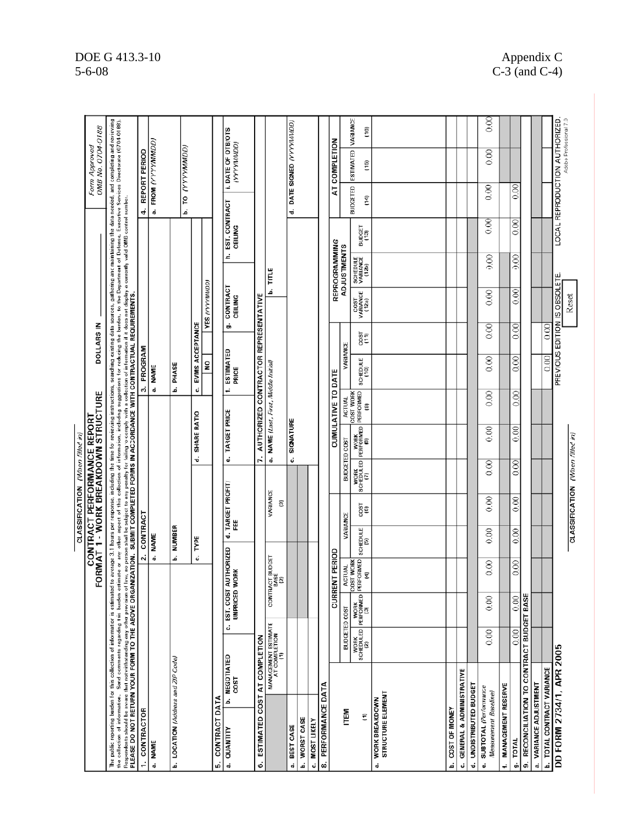CLASSIFICATION (When filled in)

|                                                                                                                                                                                                                                                                                                                                                 |                                             |                                                                    |                              |                                                             |                                 |                           | CONTRACT PERFORMANCE REPORT<br>FORMAT 1 - WORK BREAKDOWN STRUCTURE |                             |                                      | DOLLARS IN       |                           |                               |                                                                                                                                                                                                                                                                                                                                                                             |                                    | OMB No. 0704-0188<br>Form Approved                       |                  |
|-------------------------------------------------------------------------------------------------------------------------------------------------------------------------------------------------------------------------------------------------------------------------------------------------------------------------------------------------|---------------------------------------------|--------------------------------------------------------------------|------------------------------|-------------------------------------------------------------|---------------------------------|---------------------------|--------------------------------------------------------------------|-----------------------------|--------------------------------------|------------------|---------------------------|-------------------------------|-----------------------------------------------------------------------------------------------------------------------------------------------------------------------------------------------------------------------------------------------------------------------------------------------------------------------------------------------------------------------------|------------------------------------|----------------------------------------------------------|------------------|
| Respondents should be avvare that notwithstanding any other provision of law, no person shall be subject to any penalty for failing to comply with a collection of information if it does not display a currently valid OMB co<br>The public reporting burden for this collection of information is estimated<br>the collection of information. | Send comments regarding this burden es      |                                                                    |                              |                                                             |                                 |                           |                                                                    |                             |                                      |                  |                           |                               | to average 3.1 hours per response, including the time for reviewing instructions, searching data sources, gathering and maintaining the data needed, and completing and reviewing<br>timate or any other aspect of this collection of information, including suggestions for reducing the burden, to the Department of Defense, Executive Services Directorate (0704-0188). |                                    |                                                          |                  |
| 1. CONTRACTOR                                                                                                                                                                                                                                                                                                                                   |                                             |                                                                    | 2.                           | CONTRACT                                                    |                                 |                           |                                                                    |                             | 3. PROGRAM                           |                  |                           |                               |                                                                                                                                                                                                                                                                                                                                                                             | 4. REPORT PERIOD                   |                                                          |                  |
| a. NAME                                                                                                                                                                                                                                                                                                                                         |                                             |                                                                    |                              | a. NAME                                                     |                                 |                           |                                                                    |                             | a. NAME                              |                  |                           |                               |                                                                                                                                                                                                                                                                                                                                                                             |                                    | a. FROM (YYYYMMDD)                                       |                  |
| b. LOCATION (Address and ZIP Code)                                                                                                                                                                                                                                                                                                              |                                             |                                                                    |                              | b. NUMBER                                                   |                                 |                           |                                                                    |                             | <b>b.</b> PHASE                      |                  |                           |                               |                                                                                                                                                                                                                                                                                                                                                                             |                                    | b. TO (YYYYMMDD)                                         |                  |
|                                                                                                                                                                                                                                                                                                                                                 |                                             |                                                                    | ن                            | TYPE                                                        |                                 | ٠ä                        | SHARE RATIO                                                        | ئ                           | EVMS ACCEPTANCE                      |                  |                           |                               |                                                                                                                                                                                                                                                                                                                                                                             |                                    |                                                          |                  |
| CONTRACT DATA<br>Ġ,                                                                                                                                                                                                                                                                                                                             |                                             |                                                                    |                              |                                                             |                                 |                           |                                                                    |                             | ş                                    |                  | <b>YES (YYYYMMDD)</b>     |                               |                                                                                                                                                                                                                                                                                                                                                                             |                                    |                                                          |                  |
| a. QUANTITY                                                                                                                                                                                                                                                                                                                                     | <b>b. NEGOTIATED</b><br><b>COST</b>         | c. EST. COST AUTHORIZED<br>UNPRICED WORK                           |                              | 변                                                           | d. TARGET PROFIT/               |                           | e. TARGET PRICE                                                    |                             | ESTIMATED<br>PRICE                   | க்               | CONTRACT<br>CEILING       |                               | h. EST. CONTRACT<br>CEILING                                                                                                                                                                                                                                                                                                                                                 |                                    | i. DATE OF OTB/OTS<br>(YYYYYMMOD)                        |                  |
| ESTIMATED COST AT COMPLETION<br>6                                                                                                                                                                                                                                                                                                               |                                             |                                                                    |                              |                                                             |                                 | ı.                        |                                                                    |                             | AUTHORIZED CONTRACTOR REPRESENTATIVE |                  |                           |                               |                                                                                                                                                                                                                                                                                                                                                                             |                                    |                                                          |                  |
|                                                                                                                                                                                                                                                                                                                                                 | MANAGEMENT ESTIMATE<br>AT COMPLETION<br>(1) |                                                                    | CONTRACT BUDGET<br>BASE<br>ฐ |                                                             | VARIANCE<br>T                   |                           | a. NAME (Last, First, Niddle Initial)                              |                             |                                      |                  | ف                         | TITLE                         |                                                                                                                                                                                                                                                                                                                                                                             |                                    |                                                          |                  |
| BEST CASE<br>ස්                                                                                                                                                                                                                                                                                                                                 |                                             |                                                                    |                              |                                                             |                                 |                           | c. SIGNATURE                                                       |                             |                                      |                  |                           |                               |                                                                                                                                                                                                                                                                                                                                                                             |                                    | d. DATE SIGNED (YYYYIMMDD)                               |                  |
| WORST CASE<br>ف                                                                                                                                                                                                                                                                                                                                 |                                             |                                                                    |                              |                                                             |                                 |                           |                                                                    |                             |                                      |                  |                           |                               |                                                                                                                                                                                                                                                                                                                                                                             |                                    |                                                          |                  |
| <b>MOST LIKELY</b><br>ئە                                                                                                                                                                                                                                                                                                                        |                                             |                                                                    |                              |                                                             |                                 |                           |                                                                    |                             |                                      |                  |                           |                               |                                                                                                                                                                                                                                                                                                                                                                             |                                    |                                                          |                  |
| 8. PERFORMANCE DATA                                                                                                                                                                                                                                                                                                                             |                                             |                                                                    |                              |                                                             |                                 |                           |                                                                    |                             |                                      |                  |                           |                               |                                                                                                                                                                                                                                                                                                                                                                             |                                    |                                                          |                  |
|                                                                                                                                                                                                                                                                                                                                                 |                                             |                                                                    | <b>CURRENT PERIOD</b>        |                                                             |                                 |                           |                                                                    | <b>CUMULATIVE TO DATE</b>   |                                      |                  |                           | REPROGRAMMING                 |                                                                                                                                                                                                                                                                                                                                                                             |                                    | AT COMPLETION                                            |                  |
| ITEM                                                                                                                                                                                                                                                                                                                                            |                                             | BUDGETED COST                                                      | <b>ACTUAL</b>                | VARIANCE                                                    |                                 | BUDGETED COST             |                                                                    | <b>ACTUAL</b>               | VARIANCE                             |                  |                           | <b>ADJUSTMENTS</b>            |                                                                                                                                                                                                                                                                                                                                                                             |                                    |                                                          |                  |
| Ξ                                                                                                                                                                                                                                                                                                                                               |                                             | WORK WORK COSTWORK<br>SCHEDULED PERFORMED PERFORMED<br>(2) (2) (3) | COST WORK                    | $\begin{array}{c} \text{SCHEDUE} \\ \text{[5]} \end{array}$ | 1800<br>1800                    |                           | WORK<br>SCHEDULED PERFORMED<br>(7)<br>(2)                          | PERFORMED<br>COST WORK<br>ē | SCHEDULE<br>(10)                     | Fğe              | COST<br>VARIANCE<br>(12a) | SCHEDULE<br>VARIANCE<br>(12b) | BUDGET<br>(13)                                                                                                                                                                                                                                                                                                                                                              | <b>BUDGETED</b><br>$\overline{14}$ | ESTIMATED<br>(15)                                        | VARIANCE<br>(16) |
| STRUCTURE ELEMENT<br><b>WORK BREAKDOWN</b><br>d                                                                                                                                                                                                                                                                                                 |                                             |                                                                    |                              |                                                             |                                 |                           |                                                                    |                             |                                      |                  |                           |                               |                                                                                                                                                                                                                                                                                                                                                                             |                                    |                                                          |                  |
| COST OF MONEY<br>ف                                                                                                                                                                                                                                                                                                                              |                                             |                                                                    |                              |                                                             |                                 |                           |                                                                    |                             |                                      |                  |                           |                               |                                                                                                                                                                                                                                                                                                                                                                             |                                    |                                                          |                  |
| GENERAL & ADMINISTRATIVE<br>ئ                                                                                                                                                                                                                                                                                                                   |                                             |                                                                    |                              |                                                             |                                 |                           |                                                                    |                             |                                      |                  |                           |                               |                                                                                                                                                                                                                                                                                                                                                                             |                                    |                                                          |                  |
| d. UNDISTRIBUTED BUDGET                                                                                                                                                                                                                                                                                                                         |                                             |                                                                    |                              |                                                             |                                 |                           |                                                                    |                             |                                      |                  |                           |                               |                                                                                                                                                                                                                                                                                                                                                                             |                                    |                                                          |                  |
| SUBTOTAL (Performance<br>Measurement Baseline)<br>ئە                                                                                                                                                                                                                                                                                            | 0.00                                        | $\approx 0$                                                        | $\frac{8}{6}$                | 0.00                                                        | $\frac{8}{2}$                   | $_{0.00}$                 | $\frac{8}{3}$                                                      | 0.00                        | $\frac{8}{6}$                        | $_{0.00}$        | 800                       | $\frac{8}{2}$                 | $\overline{\frac{80}{100}}$                                                                                                                                                                                                                                                                                                                                                 | $_{0.00}$                          | 0.00                                                     | $\frac{8}{3}$    |
| <b>MANAGEMENT RESERVE</b><br>÷                                                                                                                                                                                                                                                                                                                  |                                             |                                                                    |                              |                                                             |                                 |                           |                                                                    |                             |                                      |                  |                           |                               |                                                                                                                                                                                                                                                                                                                                                                             |                                    |                                                          |                  |
| <b>TOTAL</b><br>ő,                                                                                                                                                                                                                                                                                                                              | 0.00                                        | 0.00                                                               | 0.00                         | 0.00                                                        | 0.00                            | $\overline{\frac{8}{10}}$ | 0.00                                                               | $rac{1}{2}$                 | $\overline{0.00}$                    | $\overline{000}$ | $\overline{\odot}$        | 0.00                          | $\overline{\mathrm{SO}}$                                                                                                                                                                                                                                                                                                                                                    | 0.00                               |                                                          |                  |
| RECONCILIATION TO CONTRACT BUDGET BASE<br>တ်                                                                                                                                                                                                                                                                                                    |                                             |                                                                    |                              |                                                             |                                 |                           |                                                                    |                             |                                      |                  |                           |                               |                                                                                                                                                                                                                                                                                                                                                                             |                                    |                                                          |                  |
| a. VARIANCE ADJUSTMENT                                                                                                                                                                                                                                                                                                                          |                                             |                                                                    |                              |                                                             |                                 |                           |                                                                    |                             |                                      |                  |                           |                               |                                                                                                                                                                                                                                                                                                                                                                             |                                    |                                                          |                  |
| TOTAL CONTRACT VARIANCE<br>ف                                                                                                                                                                                                                                                                                                                    |                                             |                                                                    |                              |                                                             |                                 |                           |                                                                    |                             | 0.00                                 | 0.00             |                           |                               |                                                                                                                                                                                                                                                                                                                                                                             |                                    |                                                          |                  |
| DD FORM 2734/1, APR 2005                                                                                                                                                                                                                                                                                                                        |                                             |                                                                    |                              |                                                             |                                 |                           |                                                                    |                             | PREVIOUS EDITION IS OBSOLETE.        |                  |                           |                               |                                                                                                                                                                                                                                                                                                                                                                             |                                    | LOCAL REPRODUCTION AUTHORIZED.<br>Adobe Professional 7.0 |                  |
|                                                                                                                                                                                                                                                                                                                                                 |                                             |                                                                    |                              |                                                             | CLASSIFICATION (When filled in) |                           |                                                                    |                             |                                      |                  | Reset                     |                               |                                                                                                                                                                                                                                                                                                                                                                             |                                    |                                                          |                  |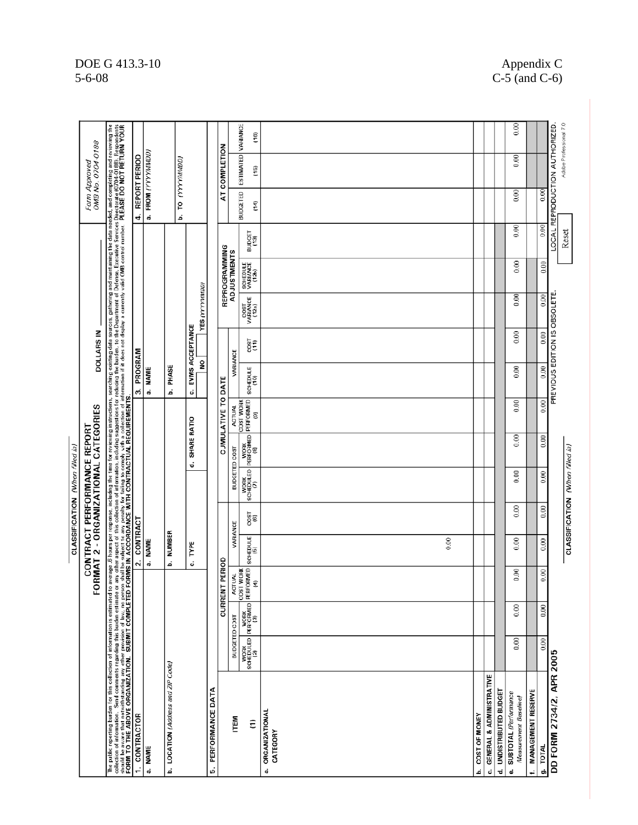|                                                                                                                                                                                                                                |               |      |                                                                                                                                                                                                                                                                              |                               |               | CLASSIFICATION (When filled in)                                   |                  |                                                                                                                                                                                                                                                                                                                                                                                    |                        |                 |                              |                               |                |                                               |                                    |           |
|--------------------------------------------------------------------------------------------------------------------------------------------------------------------------------------------------------------------------------|---------------|------|------------------------------------------------------------------------------------------------------------------------------------------------------------------------------------------------------------------------------------------------------------------------------|-------------------------------|---------------|-------------------------------------------------------------------|------------------|------------------------------------------------------------------------------------------------------------------------------------------------------------------------------------------------------------------------------------------------------------------------------------------------------------------------------------------------------------------------------------|------------------------|-----------------|------------------------------|-------------------------------|----------------|-----------------------------------------------|------------------------------------|-----------|
|                                                                                                                                                                                                                                |               |      | ē                                                                                                                                                                                                                                                                            |                               |               | RMAT 2 - ORGANIZATIONAL CATEGORIES<br>CONTRACT PERFORMANCE REPORT |                  |                                                                                                                                                                                                                                                                                                                                                                                    |                        | DOLLARS IN      |                              |                               |                |                                               | OMB No. 0704-0188<br>Form Approved |           |
| The public reporting burden to this collection of information is substituted by the state of the state of the state of the state of the state of the state of the state of the state of the state of the state of the state of |               |      |                                                                                                                                                                                                                                                                              |                               |               |                                                                   |                  |                                                                                                                                                                                                                                                                                                                                                                                    |                        |                 |                              |                               |                |                                               |                                    |           |
| 1. CONTRACTOR                                                                                                                                                                                                                  |               |      |                                                                                                                                                                                                                                                                              | CONTRACT<br>$\ddot{\text{a}}$ |               |                                                                   |                  |                                                                                                                                                                                                                                                                                                                                                                                    | PROGRAM<br>ო           |                 |                              |                               |                | 4. REPORT PERIOD                              |                                    |           |
| a. NAME                                                                                                                                                                                                                        |               |      |                                                                                                                                                                                                                                                                              | a. NAME                       |               |                                                                   |                  |                                                                                                                                                                                                                                                                                                                                                                                    | <b>NAME</b><br>õ       |                 |                              |                               |                |                                               | a. FROM (YYYYMMDD)                 |           |
| b. LOCATION (Address and ZIP Code)                                                                                                                                                                                             |               |      |                                                                                                                                                                                                                                                                              | <b>NUMBER</b><br>ف            |               |                                                                   |                  |                                                                                                                                                                                                                                                                                                                                                                                    | PHASE<br>م             |                 |                              |                               |                | ف                                             | TO (YYYYMMOD)                      |           |
|                                                                                                                                                                                                                                |               |      |                                                                                                                                                                                                                                                                              | c. TYPE                       |               |                                                                   | d. SHARE RATIO   |                                                                                                                                                                                                                                                                                                                                                                                    | g<br>ن                 | EVMS ACCEPTANCE | <b>YES (YYYYMMOD)</b>        |                               |                |                                               |                                    |           |
| 5. PERFORMANCE DATA                                                                                                                                                                                                            |               |      |                                                                                                                                                                                                                                                                              |                               |               |                                                                   |                  |                                                                                                                                                                                                                                                                                                                                                                                    |                        |                 |                              |                               |                |                                               |                                    |           |
|                                                                                                                                                                                                                                |               |      | PERIOD<br>CURRENT                                                                                                                                                                                                                                                            |                               |               |                                                                   |                  | CUMULATIVE TO DATE                                                                                                                                                                                                                                                                                                                                                                 |                        |                 |                              | REPROGRAMMING                 |                |                                               | AT COMPLETION                      |           |
| ITEM                                                                                                                                                                                                                           | BUDGETED COST |      | <b>ACTUAL</b>                                                                                                                                                                                                                                                                | VARIANCE                      |               |                                                                   |                  |                                                                                                                                                                                                                                                                                                                                                                                    | VARIANCE               |                 |                              | <b>ADJUSTMENTS</b>            |                |                                               |                                    |           |
| Ξ                                                                                                                                                                                                                              |               |      | $\begin{array}{c} \text{WOK} \\ \text{SGEDULED} \end{array} \begin{bmatrix} \text{WOK} \\ \text{REFGIMED} \end{bmatrix} \begin{bmatrix} \text{CCS1 WOK} \\ \text{REFCGMED} \end{bmatrix} \begin{bmatrix} \text{CCS1 WOL} \\ \text{FEFCGMED} \end{bmatrix}$<br>COST WORK<br>T | SCHEDULE                      | rigo          |                                                                   |                  | $\begin{tabular}{ c c c } \hline & $N$ & $N$ & $N$ \\ \hline & $N$ & $N$ & $N$ & $N$ \\ \hline & $N$ & $N$ & $N$ & $N$ & $N$ \\ \hline & $N$ & $N$ & $N$ & $N$ & $N$ \\ \hline & $N$ & $N$ & $N$ & $N$ & $N$ \\ \hline & $N$ & $N$ & $N$ & $N$ & $N$ \\ \hline & $N$ & $N$ & $N$ & $N$ & $N$ \\ \hline & $N$ & $N$ & $N$ & $N$ & $N$ & $N$ \\ \hline & $N$ & $N$ & $N$ & $N$ & $N$ | SCHEDULE<br><b>Cri</b> | Tgg             | COST<br>VARIANCE<br>(12a)    | SCHEDULE<br>VARIANCE<br>(12b) | BUDGET<br>(13) | <b>BUDGETED</b><br>$\left(\frac{1}{2}\right)$ | ESTIMATED VARIANCE<br>(15)         | (16)      |
| <b>ORGANIZATIONAL</b><br>ಥ                                                                                                                                                                                                     |               |      |                                                                                                                                                                                                                                                                              |                               |               |                                                                   |                  |                                                                                                                                                                                                                                                                                                                                                                                    |                        |                 |                              |                               |                |                                               |                                    |           |
| CATEGORY                                                                                                                                                                                                                       |               |      |                                                                                                                                                                                                                                                                              | 0.00                          |               |                                                                   |                  |                                                                                                                                                                                                                                                                                                                                                                                    |                        |                 |                              |                               |                |                                               |                                    |           |
| COST OF MONEY<br>م                                                                                                                                                                                                             |               |      |                                                                                                                                                                                                                                                                              |                               |               |                                                                   |                  |                                                                                                                                                                                                                                                                                                                                                                                    |                        |                 |                              |                               |                |                                               |                                    |           |
| GENERAL & ADMINISTRATIVE<br>ن                                                                                                                                                                                                  |               |      |                                                                                                                                                                                                                                                                              |                               |               |                                                                   |                  |                                                                                                                                                                                                                                                                                                                                                                                    |                        |                 |                              |                               |                |                                               |                                    |           |
| d. UNDISTRIBUTED BUDGET                                                                                                                                                                                                        |               |      |                                                                                                                                                                                                                                                                              |                               |               |                                                                   |                  |                                                                                                                                                                                                                                                                                                                                                                                    |                        |                 |                              |                               |                |                                               |                                    |           |
| SUBTOTAL (Performance<br>Measurement Baseline<br>ئە                                                                                                                                                                            | 0.00          | 0.00 | 0.00                                                                                                                                                                                                                                                                         | $\frac{8}{6}$                 | $\frac{8}{2}$ | 0.00                                                              | $\frac{8}{0.00}$ | $\frac{8}{2}$                                                                                                                                                                                                                                                                                                                                                                      | 0.00                   | 0.00            | $\frac{8}{10}$               | $\frac{8}{2}$                 | $_{0.00}$      | $_{0.00}$                                     | $_{0.00}$                          | $_{0.00}$ |
| <b>MANAGEMENT RESERVE</b><br>t.                                                                                                                                                                                                |               |      |                                                                                                                                                                                                                                                                              |                               |               |                                                                   |                  |                                                                                                                                                                                                                                                                                                                                                                                    |                        |                 |                              |                               |                |                                               |                                    |           |
| 9. TOTAL                                                                                                                                                                                                                       | 0.00          | 0.00 | 0.00                                                                                                                                                                                                                                                                         | 0.00                          | 0.00          | 0.00                                                              | 0.00             | 0.00                                                                                                                                                                                                                                                                                                                                                                               | 0.00                   | 0.00            | 0.00                         | 0.00                          | 0.00           | 0.00                                          |                                    |           |
| DD FORM 2734/2, APR 2005                                                                                                                                                                                                       |               |      |                                                                                                                                                                                                                                                                              |                               |               |                                                                   |                  |                                                                                                                                                                                                                                                                                                                                                                                    |                        |                 | PREVIOUS EDITION IS OBSOLETE |                               |                |                                               | LOCAL REPRODUCTION AUTHORIZED      |           |
|                                                                                                                                                                                                                                |               |      |                                                                                                                                                                                                                                                                              |                               |               | CLASSIFICATION (When filled in)                                   |                  |                                                                                                                                                                                                                                                                                                                                                                                    |                        |                 |                              |                               | Reset          |                                               | Adobe Professional 7.0             |           |

## DOE G 413.3-10<br>5-6-08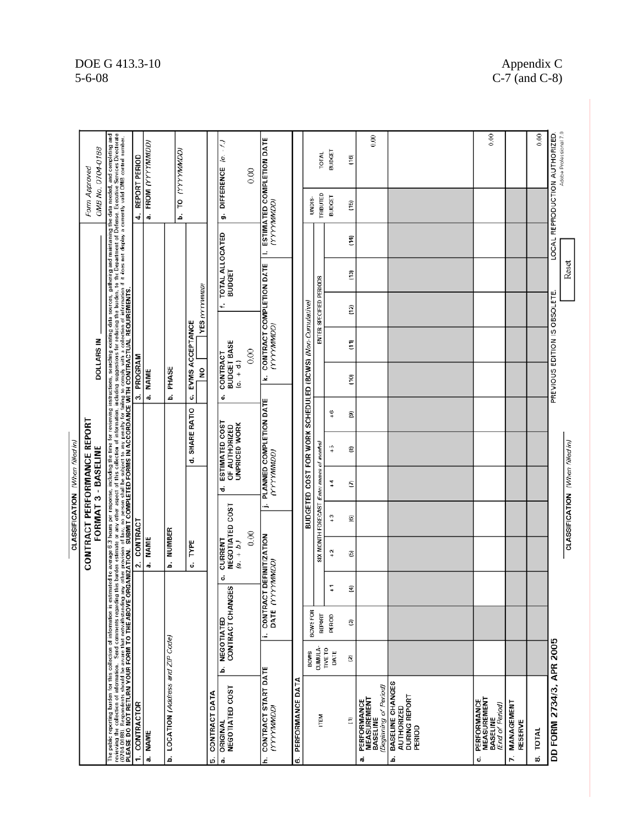#### $0.00$  $0.00$ Adobe Professional 7.0 The public reporting burden for this collection of information is estimated to were a 3 hours per incomes, including the maximal distribution and maximal information the data needed, and completing and research and complet  $0.00$ LOCAL REPRODUCTION AUTHORIZED **ESTIMATED COMPLETION DATE**<br>(YYYYMMDD) a. FROM (YYYYMMDD)  $(e. - f.$ OMB No. 0704-0188 IGOWWAAAJ OL **BUDGET** TOTAL  $(16)$ 4. REPORT PERIOD g. DIFFERENCE  $0.00$ Form Approved TRIBUTED **BUDGET** UNDIS-(15) ف TOTAL ALLOCATED<br>BUDGET Ë  $\equiv$ Reset CONTRACT COMPLETION DATE  $\overline{2}$ ENTER SPECIFIED PERIODS **TES (YYYYMMOD)** PREVIOUS EDITION IS OBSOLETE. ÷. BUDGETED COST FOR WORK SCHEDULED (BCWS) (Non-Cumulative)  $\frac{2}{3}$ c. EVMS ACCEPTANCE (VYYYMMOD) **CONTRACT<br>BUDGET BASE**<br>(c. + d.) **DOLLARS IN** Ē  $0.00$ 3. PROGRAM  $\frac{1}{2}$ PHASE a. NAME نح  $\overline{c}$ ة ø **PLANNED COMPLETION DATE**<br>(YYYYMM/D) d. SHARE RATIO  $\frac{6}{4}$ 3 ESTIMATED COST<br>OF AUTHORIZED<br>UNPRICED WORK CONTRACT PERFORMANCE REPORT CLASSIFICATION (When filled in) SIX MONTH FORECAST (Enter names of months) CLASSIFICATION (When filled in)  $\frac{10}{4}$ ® FORMAT 3 - BASELINE  $\ddot{\tau}$ ē ۰ė  $\begin{array}{c} \text{CURRENT} \ \text{NEGOTHATED COST} \ \text{(a. + b.)} \end{array}$ ÷  $\frac{1}{2}$ © 2. CONTRACT **b.** NUMBER  $0.00$ CONTRACT DEFINITIZATION<br>DATE (YYYYMMDD) a. NAME TYPE  $\ddot{\cdot}$ ම ن ن  $\overline{a}$  $\widehat{a}$ **b. NEGOTIATED**<br>CONTRACT CHANGES BCWS FOR REPORT PERIOD ම j. b. LOCATION (Address and ZIP Code) DD FORM 2734/3, APR 2005 CUMULA-<br>TIVE TO DATE **BCWS**  $\mathfrak{V}$ **CONTRACT START DATE**<br>(YYYYMMOD) **BASELINE CHANGES<br>AUTHORIZED<br>DURING REPORT<br>PERIOD** PERFORMANCE DATA **PERFORMANCE**<br>MEASUREMENT<br>BASELINE<br>*(Beginning of Period)* ORIGINAL<br>NEGOTIATED COST CONTRACT DATA **PERFORMANCE**<br>MEASUREMENT<br>BASELINE<br>*End of Period!* MANAGEMENT CONTRACTOR ITEM Ξ RESERVE 8. TOTAL **NAME** ai r. ف ن đ ė c, a. `ما

DOE G 413.3-10 Appendix C 5-6-08 C-7 (and C-8)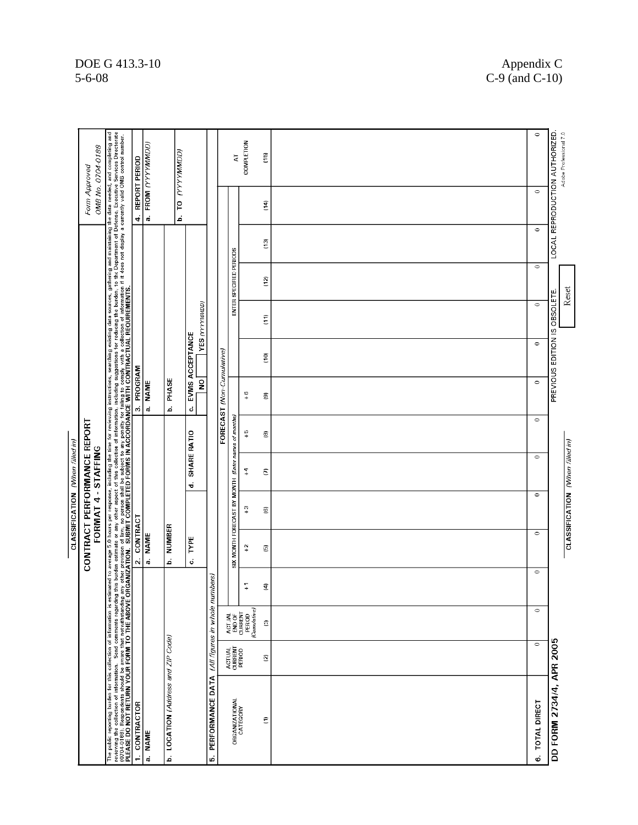|                                                                                                                                                                                                                                |                             |                                                                          |               |                             | CLASSIFICATION (When filled in) |                  |                                                     |                           |                 |                               |                         |                 |                  |                               |
|--------------------------------------------------------------------------------------------------------------------------------------------------------------------------------------------------------------------------------|-----------------------------|--------------------------------------------------------------------------|---------------|-----------------------------|---------------------------------|------------------|-----------------------------------------------------|---------------------------|-----------------|-------------------------------|-------------------------|-----------------|------------------|-------------------------------|
|                                                                                                                                                                                                                                |                             |                                                                          |               | CONTRACT PERFORMANCE REPORT | FORMAT 4 - STAFFING             |                  |                                                     |                           |                 |                               |                         |                 | Form Approved    | OMB No. 0704-0188             |
| The public reporting burden for this cellection of information is estimated to average 50 hours provided and response included and marketing and marketing and marketing the data needed, and completing and response to the c |                             |                                                                          |               |                             |                                 |                  |                                                     |                           |                 |                               |                         |                 |                  |                               |
| CONTRACTOR<br>$\cdot$                                                                                                                                                                                                          |                             |                                                                          |               | 2. CONTRACT                 |                                 |                  |                                                     | 3. PROGRAM                |                 |                               |                         |                 | 4. REPORT PERIOD |                               |
| <b>NAME</b><br>d                                                                                                                                                                                                               |                             |                                                                          |               | a. NAME                     |                                 |                  |                                                     | <b>NAME</b><br>d          |                 |                               |                         |                 |                  | a. FROM (YYYYMMDD)            |
| b. LOCATION (Address and ZIP Code)                                                                                                                                                                                             |                             |                                                                          |               | NUMBER<br>.<br>م            |                                 |                  |                                                     | PHASE<br>á                |                 |                               |                         |                 |                  | <b>b. TO (YYYYMMDD)</b>       |
|                                                                                                                                                                                                                                |                             |                                                                          |               | TYPE<br>ó                   |                                 | SHARE RATIO<br>÷ |                                                     | $\frac{1}{2}$<br>ó        | EVMS ACCEPTANCE | <b>YES (YYYYMMDD)</b>         |                         |                 |                  |                               |
| PERFORMANCE DATA<br>io.                                                                                                                                                                                                        |                             | (All figures in whole nun                                                | nbers)        |                             |                                 |                  |                                                     |                           |                 |                               |                         |                 |                  |                               |
|                                                                                                                                                                                                                                |                             |                                                                          |               |                             |                                 |                  |                                                     | FORECAST (Non-Cumulative) |                 |                               |                         |                 |                  |                               |
| ORGANIZATIONAL<br>CATEGORY                                                                                                                                                                                                     | ACTUAL<br>CURRENT<br>PERIOD | $\begin{array}{c} \text{END OF} \\ \text{CUBRENT} \end{array}$<br>ACTUAL |               |                             |                                 |                  | SIX MONTH FORECAST BY MONTH (Enter names of months) |                           |                 |                               | ENTER SPECIFIED PERIODS |                 |                  | 5                             |
|                                                                                                                                                                                                                                |                             | PERIOD<br>(Cumulative)                                                   | $\frac{1}{x}$ | $\ddot{.}$                  | $\frac{1}{2}$                   | $\ddot{4}$       | $\frac{6}{4}$                                       | $+6$                      |                 |                               |                         |                 |                  | COMPLETION                    |
| Ξ                                                                                                                                                                                                                              | ø                           | O                                                                        | ₹             | O                           | ©                               | ε                | ®,                                                  | Q                         | ē,              | Ξ                             | ្មក                     | $\overline{13}$ | ίą!              | (15)                          |
|                                                                                                                                                                                                                                |                             |                                                                          |               |                             |                                 |                  |                                                     |                           |                 |                               |                         |                 |                  |                               |
| <b>TOTAL DIRECT</b><br>ö                                                                                                                                                                                                       | $\circ$                     | $\circ$                                                                  | $\circ$       | $\circ$                     | $\circ$                         | $\circ$          | $\circ$                                             | $\circ$                   | $\circ$         | $\circ$                       | $\circ$                 | $\circ$         | $\circ$          | $\circ$                       |
| DD FORM 2734/4, APR 2005                                                                                                                                                                                                       |                             |                                                                          |               |                             |                                 |                  |                                                     |                           |                 | PREVIOUS EDITION IS OBSOLETE. |                         |                 |                  | LOCAL REPRODUCTION AUTHORIZED |
|                                                                                                                                                                                                                                |                             |                                                                          |               |                             | CLASSIFICATION (When filled in) |                  |                                                     |                           |                 |                               | Reset                   |                 |                  | Adobe Professional 7.0        |

# DOE G 413.3-10<br>5-6-08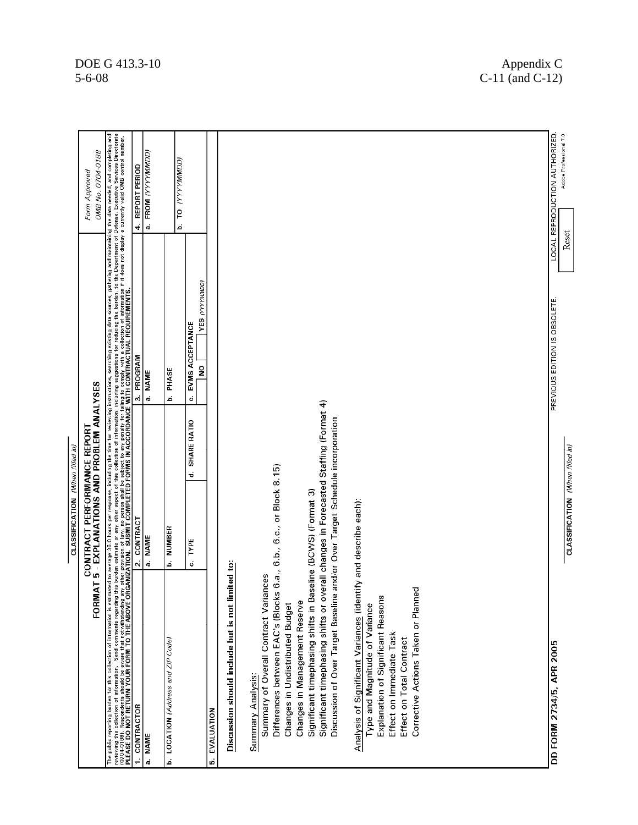|                                                                                                                                                                                                                                | CLASSIFICATION (When filled in)                                      |                  |                                                         |                                                          |
|--------------------------------------------------------------------------------------------------------------------------------------------------------------------------------------------------------------------------------|----------------------------------------------------------------------|------------------|---------------------------------------------------------|----------------------------------------------------------|
| ь<br>FORMA                                                                                                                                                                                                                     | 5 - EXPLANATIONS AND PROBLEM ANALYSES<br>CONTRACT PERFORMANCE REPORT |                  |                                                         | OMB No. 0704-0188<br>Form Approved                       |
| The public reporting burden to this collection of information is estimated to average 36.0 hours partical and mis of the collection of information is estimated to average 36.0 hours par response, including the collection o |                                                                      |                  |                                                         |                                                          |
| CONTRACTOR<br>$\cdot$                                                                                                                                                                                                          | CONTRACT<br>$\vec{\mathbf{N}}$                                       |                  | 3. PROGRAM                                              | REPORT PERIOD<br>4                                       |
| a. NAME                                                                                                                                                                                                                        | a. NAME                                                              |                  | a. NAME                                                 | FROM (YYYYMMDD)<br>å                                     |
| b. LOCATION (Address and ZIP Code)                                                                                                                                                                                             | NUMBER<br>.<br>م                                                     |                  | PHASE<br>م                                              | IO YYYYYMMODI<br>ة                                       |
|                                                                                                                                                                                                                                | TYPE<br>ó                                                            | SHARE RATIO<br>÷ | YES (YYYYMMDD)<br>EVMS ACCEPTANCE<br>$\frac{1}{2}$<br>ن |                                                          |
| 5. EVALUATION                                                                                                                                                                                                                  |                                                                      |                  |                                                         |                                                          |
| Discussion should include but is not limited to:                                                                                                                                                                               |                                                                      |                  |                                                         |                                                          |
| Summary of Overall Contract Varian<br>Summary Analysis:                                                                                                                                                                        | ces                                                                  |                  |                                                         |                                                          |
| Differences between EAC's (Blocks                                                                                                                                                                                              | 6.b., 6.c., or Block 8.15)<br>6.a.,                                  |                  |                                                         |                                                          |
| Changes in Undistributed Budget                                                                                                                                                                                                |                                                                      |                  |                                                         |                                                          |
| Significant timephasing shifts or overall changes in Forecasted Staffing (Format 4)<br>Significant timephasing shifts in Baseline (BCWS) (Format 3)<br>Changes in Management Reserve                                           |                                                                      |                  |                                                         |                                                          |
| Discussion of Over Target Baseline and/or Over Target Schedule incorporation                                                                                                                                                   |                                                                      |                  |                                                         |                                                          |
| Analysis of Significant Variances (identify and describe each):<br>Type and Magnitude of Variance                                                                                                                              |                                                                      |                  |                                                         |                                                          |
| Explanation of Significant Reasons<br>Effect on Immediate Task                                                                                                                                                                 |                                                                      |                  |                                                         |                                                          |
| Effect on Total Contract                                                                                                                                                                                                       |                                                                      |                  |                                                         |                                                          |
| Corrective Actions Taken or Planned                                                                                                                                                                                            |                                                                      |                  |                                                         |                                                          |
|                                                                                                                                                                                                                                |                                                                      |                  |                                                         |                                                          |
|                                                                                                                                                                                                                                |                                                                      |                  |                                                         |                                                          |
|                                                                                                                                                                                                                                |                                                                      |                  |                                                         |                                                          |
|                                                                                                                                                                                                                                |                                                                      |                  |                                                         |                                                          |
|                                                                                                                                                                                                                                |                                                                      |                  |                                                         |                                                          |
| DD FORM 2734/5, APR 2005                                                                                                                                                                                                       |                                                                      |                  | PREVIOUS EDITION IS OBSOLETE.                           | LOCAL REPRODUCTION AUTHORIZED.<br>Adobe Professional 7.0 |
|                                                                                                                                                                                                                                | CLASSIFICATION (When filled in)                                      |                  |                                                         | Reset                                                    |

#### $DOE G 413.3-10$  Appendix C 5-6-08 C-11 (and C-12)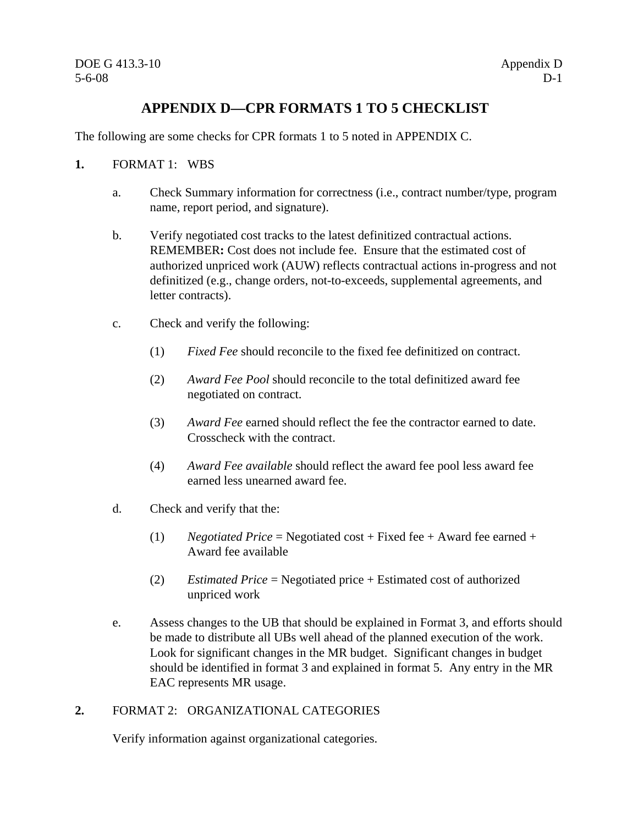## **APPENDIX D—CPR FORMATS 1 TO 5 CHECKLIST**

The following are some checks for CPR formats 1 to 5 noted in APPENDIX C.

- **1.** FORMAT 1: WBS
	- a. Check Summary information for correctness (i.e., contract number/type, program name, report period, and signature).
	- b. Verify negotiated cost tracks to the latest definitized contractual actions. REMEMBER**:** Cost does not include fee. Ensure that the estimated cost of authorized unpriced work (AUW) reflects contractual actions in-progress and not definitized (e.g., change orders, not-to-exceeds, supplemental agreements, and letter contracts).
	- c. Check and verify the following:
		- (1) *Fixed Fee* should reconcile to the fixed fee definitized on contract.
		- (2) *Award Fee Pool* should reconcile to the total definitized award fee negotiated on contract.
		- (3) *Award Fee* earned should reflect the fee the contractor earned to date. Crosscheck with the contract.
		- (4) *Award Fee available* should reflect the award fee pool less award fee earned less unearned award fee.
	- d. Check and verify that the:
		- (1) *Negotiated Price* = Negotiated cost + Fixed fee + Award fee earned + Award fee available
		- (2) *Estimated Price* = Negotiated price + Estimated cost of authorized unpriced work
	- e. Assess changes to the UB that should be explained in Format 3, and efforts should be made to distribute all UBs well ahead of the planned execution of the work. Look for significant changes in the MR budget. Significant changes in budget should be identified in format 3 and explained in format 5. Any entry in the MR EAC represents MR usage.

#### **2.** FORMAT 2: ORGANIZATIONAL CATEGORIES

Verify information against organizational categories.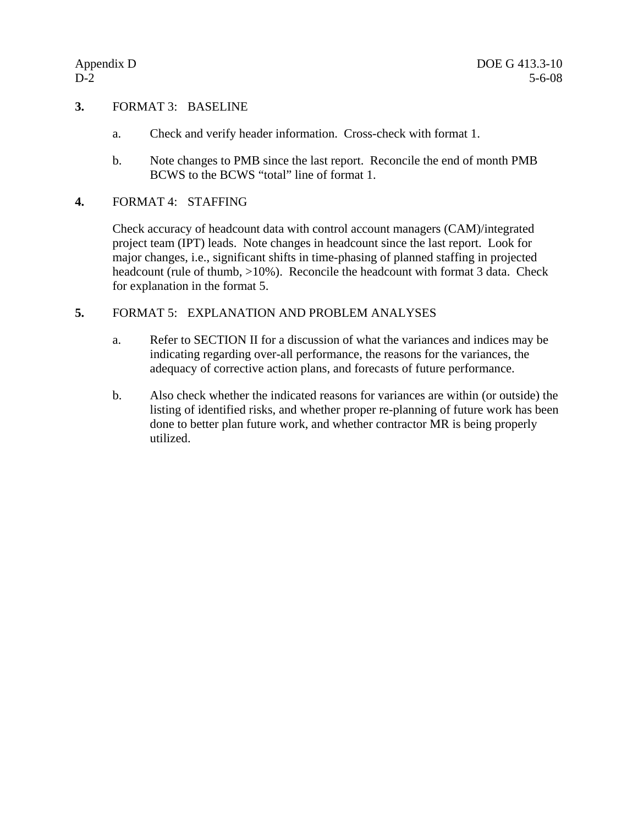#### **3.** FORMAT 3: BASELINE

- a. Check and verify header information. Cross-check with format 1.
- b. Note changes to PMB since the last report. Reconcile the end of month PMB BCWS to the BCWS "total" line of format 1.

#### **4.** FORMAT 4: STAFFING

Check accuracy of headcount data with control account managers (CAM)/integrated project team (IPT) leads. Note changes in headcount since the last report. Look for major changes, i.e., significant shifts in time-phasing of planned staffing in projected headcount (rule of thumb,  $>10\%$ ). Reconcile the headcount with format 3 data. Check for explanation in the format 5.

#### **5.** FORMAT 5: EXPLANATION AND PROBLEM ANALYSES

- a. Refer to SECTION II for a discussion of what the variances and indices may be indicating regarding over-all performance, the reasons for the variances, the adequacy of corrective action plans, and forecasts of future performance.
- b. Also check whether the indicated reasons for variances are within (or outside) the listing of identified risks, and whether proper re-planning of future work has been done to better plan future work, and whether contractor MR is being properly utilized.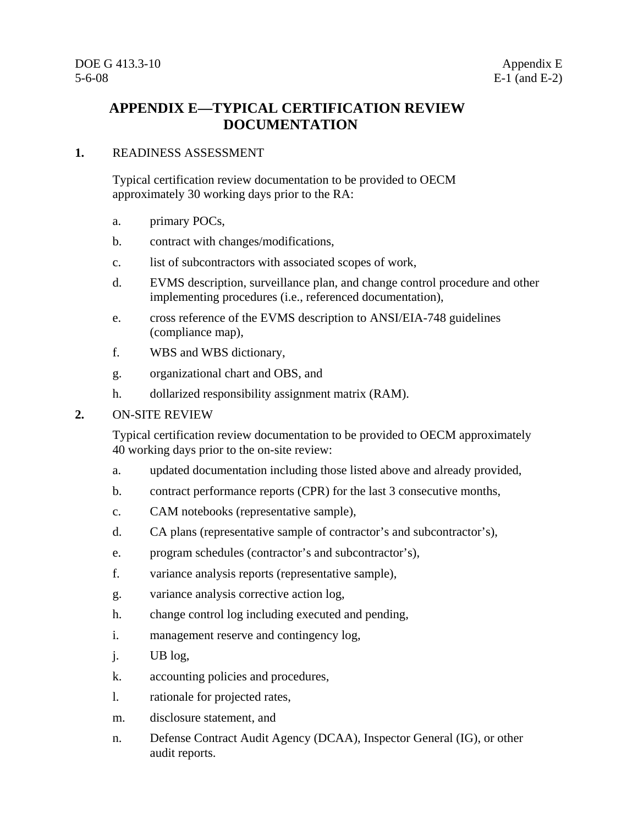## **APPENDIX E—TYPICAL CERTIFICATION REVIEW DOCUMENTATION**

#### **1.** READINESS ASSESSMENT

Typical certification review documentation to be provided to OECM approximately 30 working days prior to the RA:

- a. primary POCs,
- b. contract with changes/modifications,
- c. list of subcontractors with associated scopes of work,
- d. EVMS description, surveillance plan, and change control procedure and other implementing procedures (i.e., referenced documentation),
- e. cross reference of the EVMS description to ANSI/EIA-748 guidelines (compliance map),
- f. WBS and WBS dictionary,
- g. organizational chart and OBS, and
- h. dollarized responsibility assignment matrix (RAM).

#### **2.** ON-SITE REVIEW

Typical certification review documentation to be provided to OECM approximately 40 working days prior to the on-site review:

- a. updated documentation including those listed above and already provided,
- b. contract performance reports (CPR) for the last 3 consecutive months,
- c. CAM notebooks (representative sample),
- d. CA plans (representative sample of contractor's and subcontractor's),
- e. program schedules (contractor's and subcontractor's),
- f. variance analysis reports (representative sample),
- g. variance analysis corrective action log,
- h. change control log including executed and pending,
- i. management reserve and contingency log,
- j. UB log,
- k. accounting policies and procedures,
- l. rationale for projected rates,
- m. disclosure statement, and
- n. Defense Contract Audit Agency (DCAA), Inspector General (IG), or other audit reports.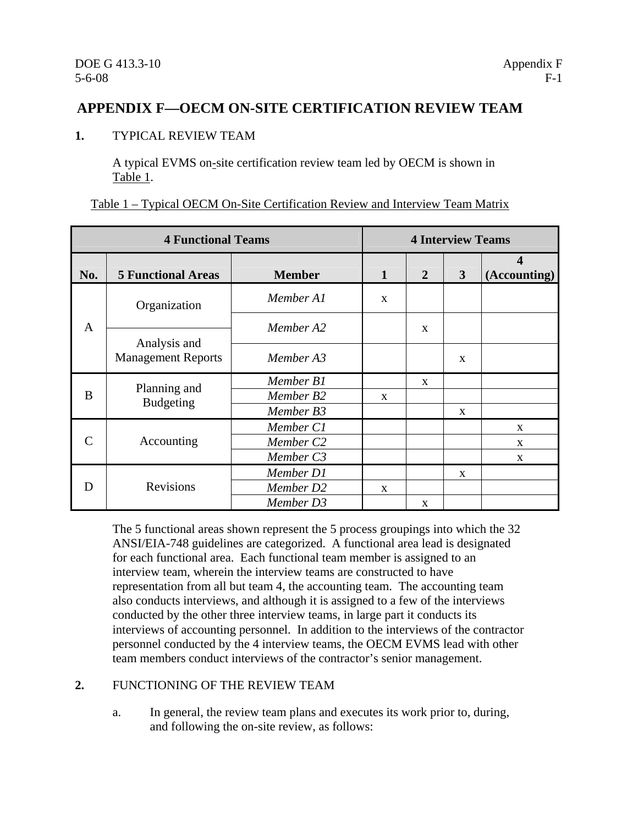## **APPENDIX F—OECM ON-SITE CERTIFICATION REVIEW TEAM**

#### **1.** TYPICAL REVIEW TEAM

A typical EVMS on-site certification review team led by OECM is shown in Table 1.

|  |  | Table 1 – Typical OECM On-Site Certification Review and Interview Team Matrix |  |
|--|--|-------------------------------------------------------------------------------|--|
|  |  |                                                                               |  |

|              | <b>4 Functional Teams</b>                 |                       |              |              | <b>4 Interview Teams</b> |                   |
|--------------|-------------------------------------------|-----------------------|--------------|--------------|--------------------------|-------------------|
| No.          | <b>5 Functional Areas</b>                 | <b>Member</b>         | 1            | 2            | 3                        | Δ<br>(Accounting) |
|              | Organization                              | Member A1             | X            |              |                          |                   |
| $\mathbf{A}$ |                                           | Member A2             |              | X            |                          |                   |
|              | Analysis and<br><b>Management Reports</b> | Member A3             |              |              | $\mathbf{x}$             |                   |
|              | Planning and                              | Member B1             |              | $\mathbf{x}$ |                          |                   |
| B            | <b>Budgeting</b>                          | Member B2             | $\mathbf{x}$ |              |                          |                   |
|              |                                           | Member B3             |              |              | $\mathbf{X}$             |                   |
|              |                                           | Member C1             |              |              |                          | $\mathbf{x}$      |
| $\subset$    | Accounting                                | Member C <sub>2</sub> |              |              |                          | $\mathbf{x}$      |
|              |                                           | Member C3             |              |              |                          | X                 |
|              |                                           | Member D1             |              |              | X                        |                   |
| D            | Revisions                                 | Member D2             | X            |              |                          |                   |
|              |                                           | Member D3             |              | X            |                          |                   |

The 5 functional areas shown represent the 5 process groupings into which the 32 ANSI/EIA-748 guidelines are categorized. A functional area lead is designated for each functional area. Each functional team member is assigned to an interview team, wherein the interview teams are constructed to have representation from all but team 4, the accounting team. The accounting team also conducts interviews, and although it is assigned to a few of the interviews conducted by the other three interview teams, in large part it conducts its interviews of accounting personnel. In addition to the interviews of the contractor personnel conducted by the 4 interview teams, the OECM EVMS lead with other team members conduct interviews of the contractor's senior management.

#### **2.** FUNCTIONING OF THE REVIEW TEAM

a. In general, the review team plans and executes its work prior to, during, and following the on-site review, as follows: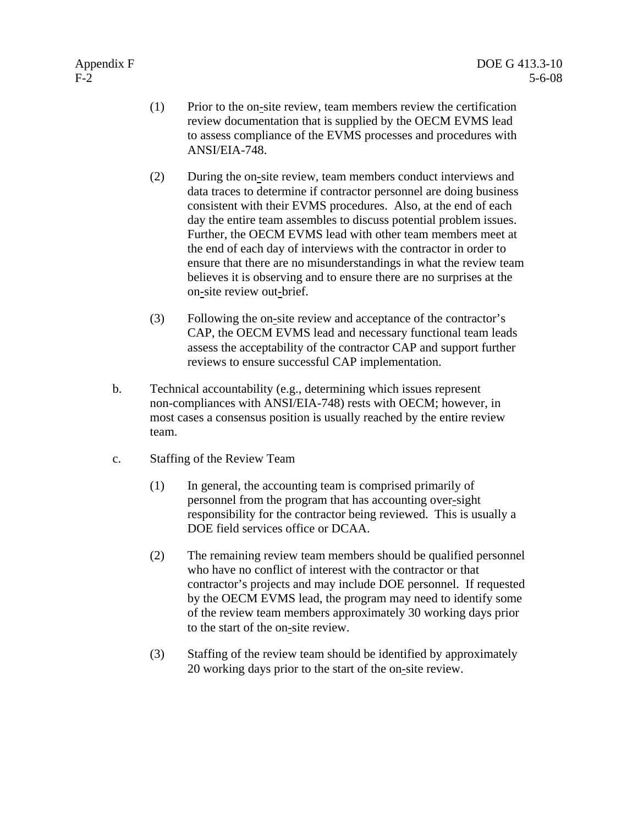- (1) Prior to the on-site review, team members review the certification review documentation that is supplied by the OECM EVMS lead to assess compliance of the EVMS processes and procedures with ANSI/EIA-748.
- (2) During the on-site review, team members conduct interviews and data traces to determine if contractor personnel are doing business consistent with their EVMS procedures. Also, at the end of each day the entire team assembles to discuss potential problem issues. Further, the OECM EVMS lead with other team members meet at the end of each day of interviews with the contractor in order to ensure that there are no misunderstandings in what the review team believes it is observing and to ensure there are no surprises at the on-site review out-brief.
- (3) Following the on-site review and acceptance of the contractor's CAP, the OECM EVMS lead and necessary functional team leads assess the acceptability of the contractor CAP and support further reviews to ensure successful CAP implementation.
- b. Technical accountability (e.g., determining which issues represent non-compliances with ANSI/EIA-748) rests with OECM; however, in most cases a consensus position is usually reached by the entire review team.
- c. Staffing of the Review Team
	- (1) In general, the accounting team is comprised primarily of personnel from the program that has accounting over-sight responsibility for the contractor being reviewed. This is usually a DOE field services office or DCAA.
	- (2) The remaining review team members should be qualified personnel who have no conflict of interest with the contractor or that contractor's projects and may include DOE personnel. If requested by the OECM EVMS lead, the program may need to identify some of the review team members approximately 30 working days prior to the start of the on-site review.
	- (3) Staffing of the review team should be identified by approximately 20 working days prior to the start of the on-site review.